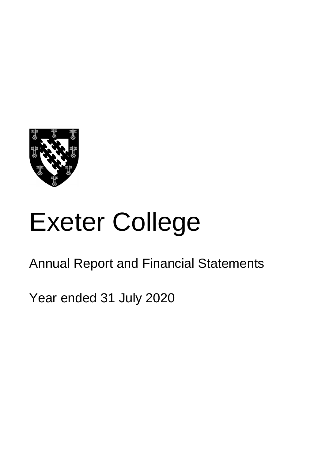

# Exeter College

# Annual Report and Financial Statements

Year ended 31 July 2020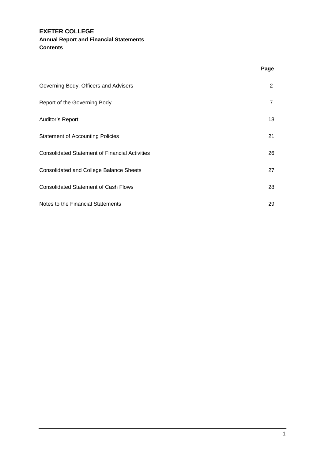# **EXETER COLLEGE Annual Report and Financial Statements Contents**

|                                                       | Page           |
|-------------------------------------------------------|----------------|
| Governing Body, Officers and Advisers                 | 2              |
| Report of the Governing Body                          | $\overline{7}$ |
| Auditor's Report                                      | 18             |
| <b>Statement of Accounting Policies</b>               | 21             |
| <b>Consolidated Statement of Financial Activities</b> | 26             |
| <b>Consolidated and College Balance Sheets</b>        | 27             |
| <b>Consolidated Statement of Cash Flows</b>           | 28             |
| Notes to the Financial Statements                     | 29             |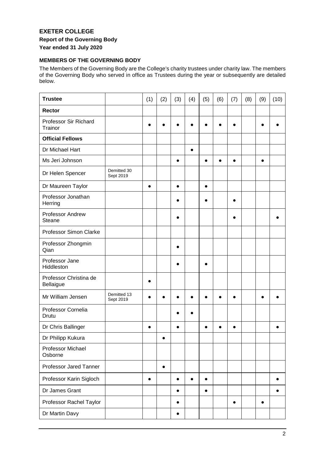# **MEMBERS OF THE GOVERNING BODY**

The Members of the Governing Body are the College's charity trustees under charity law. The members of the Governing Body who served in office as Trustees during the year or subsequently are detailed below.

| <b>Trustee</b>                      |                          | (1)       | (2)       | (3)       | (4)       | (5)       | (6) | (7)       | (8) | (9)       | (10) |
|-------------------------------------|--------------------------|-----------|-----------|-----------|-----------|-----------|-----|-----------|-----|-----------|------|
| Rector                              |                          |           |           |           |           |           |     |           |     |           |      |
| Professor Sir Richard<br>Trainor    |                          | $\bullet$ |           |           |           |           |     |           | t   |           |      |
| <b>Official Fellows</b>             |                          |           |           |           |           |           |     |           |     |           |      |
| Dr Michael Hart                     |                          |           |           |           | $\bullet$ |           |     |           |     |           |      |
| Ms Jeri Johnson                     |                          |           |           | $\bullet$ |           | $\bullet$ |     | $\bullet$ |     | $\bullet$ |      |
| Dr Helen Spencer                    | Demitted 30<br>Sept 2019 |           |           |           |           |           |     |           |     |           |      |
| Dr Maureen Taylor                   |                          | $\bullet$ |           | $\bullet$ |           | $\bullet$ |     |           |     |           |      |
| Professor Jonathan<br>Herring       |                          |           |           |           |           |           |     |           |     |           |      |
| Professor Andrew<br>Steane          |                          |           |           |           |           |           |     |           |     |           |      |
| Professor Simon Clarke              |                          |           |           |           |           |           |     |           |     |           |      |
| Professor Zhongmin<br>Qian          |                          |           |           |           |           |           |     |           |     |           |      |
| Professor Jane<br>Hiddleston        |                          |           |           |           |           |           |     |           |     |           |      |
| Professor Christina de<br>Bellaigue |                          | $\bullet$ |           |           |           |           |     |           |     |           |      |
| Mr William Jensen                   | Demitted 13<br>Sept 2019 | $\bullet$ |           |           |           |           |     |           | t   |           |      |
| Professor Cornelia<br>Drutu         |                          |           |           |           |           |           |     |           |     |           |      |
| Dr Chris Ballinger                  |                          | $\bullet$ |           |           |           |           |     |           |     |           |      |
| Dr Philipp Kukura                   |                          |           | $\bullet$ |           |           |           |     |           |     |           |      |
| Professor Michael<br>Osborne        |                          |           |           |           |           |           |     |           |     |           |      |
| Professor Jared Tanner              |                          |           | $\bullet$ |           |           |           |     |           |     |           |      |
| Professor Karin Sigloch             |                          | $\bullet$ |           | $\bullet$ | $\bullet$ | $\bullet$ |     |           |     |           |      |
| Dr James Grant                      |                          |           |           | $\bullet$ |           | $\bullet$ |     |           |     |           |      |
| Professor Rachel Taylor             |                          |           |           | ●         |           |           |     | $\bullet$ |     | $\bullet$ |      |
| Dr Martin Davy                      |                          |           |           | $\bullet$ |           |           |     |           |     |           |      |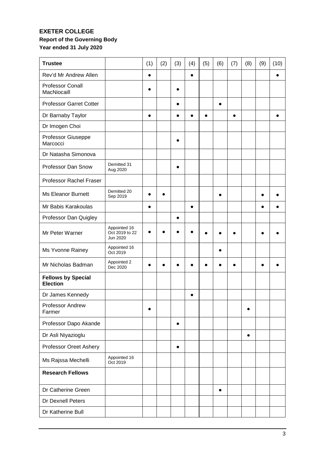| <b>Trustee</b>                               |                                            | (1)       | (2) | (3)       | (4)       | (5)       | (6)       | (7)       | (8)       | (9) | (10) |
|----------------------------------------------|--------------------------------------------|-----------|-----|-----------|-----------|-----------|-----------|-----------|-----------|-----|------|
| Rev'd Mr Andrew Allen                        |                                            | $\bullet$ |     |           | $\bullet$ |           |           |           |           |     |      |
| <b>Professor Conall</b><br>MacNiocaill       |                                            |           |     |           |           |           |           |           |           |     |      |
| <b>Professor Garret Cotter</b>               |                                            |           |     |           |           |           |           |           |           |     |      |
| Dr Barnaby Taylor                            |                                            | $\bullet$ |     | $\bullet$ |           | $\bullet$ |           | $\bullet$ |           |     |      |
| Dr Imogen Choi                               |                                            |           |     |           |           |           |           |           |           |     |      |
| Professor Giuseppe<br>Marcocci               |                                            |           |     |           |           |           |           |           |           |     |      |
| Dr Natasha Simonova                          |                                            |           |     |           |           |           |           |           |           |     |      |
| Professor Dan Snow                           | Demitted 31<br>Aug 2020                    |           |     | $\bullet$ |           |           |           |           |           |     |      |
| <b>Professor Rachel Fraser</b>               |                                            |           |     |           |           |           |           |           |           |     |      |
| <b>Ms Eleanor Burnett</b>                    | Demitted 20<br>Sep 2019                    |           |     |           |           |           | ●         |           |           |     |      |
| Mr Babis Karakoulas                          |                                            | $\bullet$ |     |           | $\bullet$ |           |           |           |           |     |      |
| Professor Dan Quigley                        |                                            |           |     |           |           |           |           |           |           |     |      |
| Mr Peter Warner                              | Appointed 16<br>Oct 2019 to 22<br>Jun 2020 |           |     |           |           |           |           |           | t         |     |      |
| Ms Yvonne Rainey                             | Appointed 16<br>Oct 2019                   |           |     |           |           |           |           |           |           |     |      |
| Mr Nicholas Badman                           | Appointed 2<br>Dec 2020                    |           |     |           |           |           |           |           | t         |     |      |
| <b>Fellows by Special</b><br><b>Election</b> |                                            |           |     |           |           |           |           |           |           |     |      |
| Dr James Kennedy                             |                                            |           |     |           |           |           |           |           |           |     |      |
| Professor Andrew<br>Farmer                   |                                            |           |     |           |           |           |           |           |           |     |      |
| Professor Dapo Akande                        |                                            |           |     | $\bullet$ |           |           |           |           |           |     |      |
| Dr Asli Niyazioglu                           |                                            |           |     |           |           |           |           |           | $\bullet$ |     |      |
| Professor Oreet Ashery                       |                                            |           |     | $\bullet$ |           |           |           |           |           |     |      |
| Ms Rajssa Mechelli                           | Appointed 16<br>Oct 2019                   |           |     |           |           |           |           |           |           |     |      |
| <b>Research Fellows</b>                      |                                            |           |     |           |           |           |           |           |           |     |      |
| Dr Catherine Green                           |                                            |           |     |           |           |           | $\bullet$ |           |           |     |      |
| Dr Dexnell Peters                            |                                            |           |     |           |           |           |           |           |           |     |      |
| Dr Katherine Bull                            |                                            |           |     |           |           |           |           |           |           |     |      |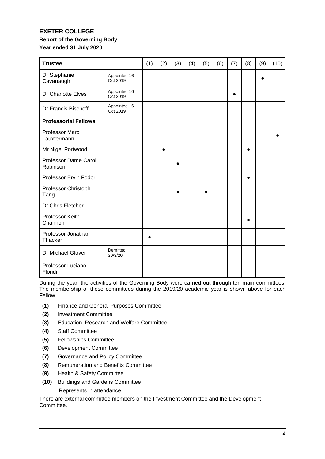| <b>Trustee</b>                       |                          | (1) | (2) | (3) | (4) | (5) | (6) | (7) | (8)       | (9) | (10) |
|--------------------------------------|--------------------------|-----|-----|-----|-----|-----|-----|-----|-----------|-----|------|
| Dr Stephanie<br>Cavanaugh            | Appointed 16<br>Oct 2019 |     |     |     |     |     |     |     |           |     |      |
| Dr Charlotte Elves                   | Appointed 16<br>Oct 2019 |     |     |     |     |     |     |     |           |     |      |
| Dr Francis Bischoff                  | Appointed 16<br>Oct 2019 |     |     |     |     |     |     |     |           |     |      |
| <b>Professorial Fellows</b>          |                          |     |     |     |     |     |     |     |           |     |      |
| <b>Professor Marc</b><br>Lauxtermann |                          |     |     |     |     |     |     |     |           |     |      |
| Mr Nigel Portwood                    |                          |     |     |     |     |     |     |     | $\bullet$ |     |      |
| Professor Dame Carol<br>Robinson     |                          |     |     |     |     |     |     |     |           |     |      |
| Professor Ervin Fodor                |                          |     |     |     |     |     |     |     | ٠         |     |      |
| Professor Christoph<br>Tang          |                          |     |     |     |     |     |     |     |           |     |      |
| Dr Chris Fletcher                    |                          |     |     |     |     |     |     |     |           |     |      |
| Professor Keith<br>Channon           |                          |     |     |     |     |     |     |     | $\bullet$ |     |      |
| Professor Jonathan<br>Thacker        |                          | ●   |     |     |     |     |     |     |           |     |      |
| Dr Michael Glover                    | Demitted<br>30/3/20      |     |     |     |     |     |     |     |           |     |      |
| Professor Luciano<br>Floridi         |                          |     |     |     |     |     |     |     |           |     |      |

During the year, the activities of the Governing Body were carried out through ten main committees. The membership of these committees during the 2019/20 academic year is shown above for each Fellow.

- **(1)** Finance and General Purposes Committee
- **(2)** Investment Committee
- **(3)** Education, Research and Welfare Committee
- **(4)** Staff Committee
- **(5)** Fellowships Committee
- **(6)** Development Committee
- **(7)** Governance and Policy Committee
- **(8)** Remuneration and Benefits Committee
- **(9)** Health & Safety Committee
- **(10)** Buildings and Gardens Committee
	- Represents in attendance

There are external committee members on the Investment Committee and the Development Committee.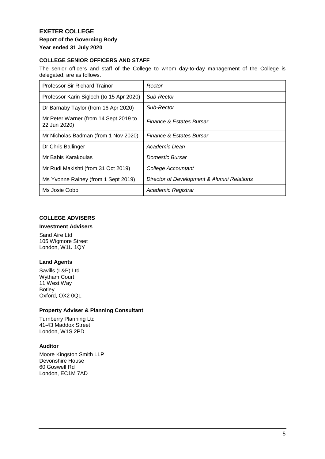# **COLLEGE SENIOR OFFICERS AND STAFF**

The senior officers and staff of the College to whom day-to-day management of the College is delegated, are as follows.

| Professor Sir Richard Trainor                         | Rector                                     |
|-------------------------------------------------------|--------------------------------------------|
| Professor Karin Sigloch (to 15 Apr 2020)              | Sub-Rector                                 |
| Dr Barnaby Taylor (from 16 Apr 2020)                  | Sub-Rector                                 |
| Mr Peter Warner (from 14 Sept 2019 to<br>22 Jun 2020) | <b>Finance &amp; Estates Bursar</b>        |
| Mr Nicholas Badman (from 1 Nov 2020)                  | <b>Finance &amp; Estates Bursar</b>        |
| Dr Chris Ballinger                                    | Academic Dean                              |
| Mr Babis Karakoulas                                   | Domestic Bursar                            |
| Mr Rudi Makishti (from 31 Oct 2019)                   | College Accountant                         |
| Ms Yvonne Rainey (from 1 Sept 2019)                   | Director of Development & Alumni Relations |
| Ms Josie Cobb                                         | Academic Registrar                         |

# **COLLEGE ADVISERS**

# **Investment Advisers**

Sand Aire Ltd 105 Wigmore Street London, W1U 1QY

# **Land Agents**

Savills (L&P) Ltd Wytham Court 11 West Way Botley Oxford, OX2 0QL

# **Property Adviser & Planning Consultant**

Turnberry Planning Ltd 41-43 Maddox Street London, W1S 2PD

# **Auditor**

Moore Kingston Smith LLP Devonshire House 60 Goswell Rd London, EC1M 7AD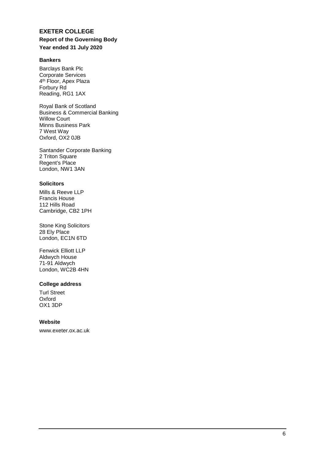# **Bankers**

Barclays Bank Plc Corporate Services<br>4<sup>th</sup> Floor, Apex Plaza Forbury Rd Reading, RG1 1AX

Royal Bank of Scotland Business & Commercial Banking Willow Court Minns Business Park 7 West Way Oxford, OX2 0JB

Santander Corporate Banking 2 Triton Square Regent's Place London, NW1 3AN

# **Solicitors**

Mills & Reeve LLP Francis House 112 Hills Road Cambridge, CB2 1PH

Stone King Solicitors 28 Ely Place London, EC1N 6TD

Fenwick Elliott LLP Aldwych House 71-91 Aldwych London, WC2B 4HN

# **College address**

Turl Street Oxford OX1 3DP

# **Website**

www.exeter.ox.ac.uk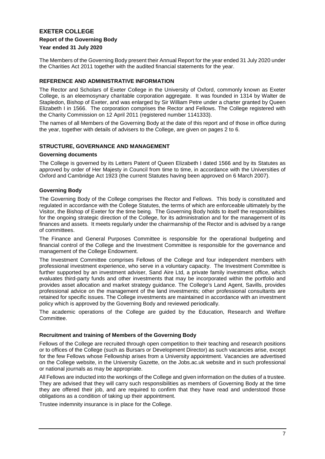The Members of the Governing Body present their Annual Report for the year ended 31 July 2020 under the Charities Act 2011 together with the audited financial statements for the year.

# **REFERENCE AND ADMINISTRATIVE INFORMATION**

The Rector and Scholars of Exeter College in the University of Oxford, commonly known as Exeter College, is an eleemosynary charitable corporation aggregate. It was founded in 1314 by Walter de Stapledon, Bishop of Exeter, and was enlarged by Sir William Petre under a charter granted by Queen Elizabeth I in 1566. The corporation comprises the Rector and Fellows. The College registered with the Charity Commission on 12 April 2011 (registered number 1141333).

The names of all Members of the Governing Body at the date of this report and of those in office during the year, together with details of advisers to the College, are given on pages 2 to 6.

# **STRUCTURE, GOVERNANCE AND MANAGEMENT**

#### **Governing documents**

The College is governed by its Letters Patent of Queen Elizabeth I dated 1566 and by its Statutes as approved by order of Her Majesty in Council from time to time, in accordance with the Universities of Oxford and Cambridge Act 1923 (the current Statutes having been approved on 6 March 2007).

# **Governing Body**

The Governing Body of the College comprises the Rector and Fellows. This body is constituted and regulated in accordance with the College Statutes, the terms of which are enforceable ultimately by the Visitor, the Bishop of Exeter for the time being. The Governing Body holds to itself the responsibilities for the ongoing strategic direction of the College, for its administration and for the management of its finances and assets. It meets regularly under the chairmanship of the Rector and is advised by a range of committees.

The Finance and General Purposes Committee is responsible for the operational budgeting and financial control of the College and the Investment Committee is responsible for the governance and management of the College Endowment.

The Investment Committee comprises Fellows of the College and four independent members with professional investment experience, who serve in a voluntary capacity. The Investment Committee is further supported by an investment adviser, Sand Aire Ltd, a private family investment office, which evaluates third-party funds and other investments that may be incorporated within the portfolio and provides asset allocation and market strategy guidance. The College's Land Agent, Savills, provides professional advice on the management of the land investments; other professional consultants are retained for specific issues. The College investments are maintained in accordance with an investment policy which is approved by the Governing Body and reviewed periodically.

The academic operations of the College are guided by the Education, Research and Welfare Committee.

#### **Recruitment and training of Members of the Governing Body**

Fellows of the College are recruited through open competition to their teaching and research positions or to offices of the College (such as Bursars or Development Director) as such vacancies arise, except for the few Fellows whose Fellowship arises from a University appointment. Vacancies are advertised on the College website, in the University Gazette, on the Jobs.ac.uk website and in such professional or national journals as may be appropriate.

All Fellows are inducted into the workings of the College and given information on the duties of a trustee. They are advised that they will carry such responsibilities as members of Governing Body at the time they are offered their job, and are required to confirm that they have read and understood those obligations as a condition of taking up their appointment.

Trustee indemnity insurance is in place for the College.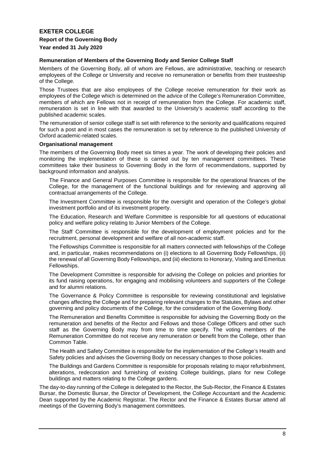# **Remuneration of Members of the Governing Body and Senior College Staff**

Members of the Governing Body, all of whom are Fellows, are administrative, teaching or research employees of the College or University and receive no remuneration or benefits from their trusteeship of the College.

Those Trustees that are also employees of the College receive remuneration for their work as employees of the College which is determined on the advice of the College's Remuneration Committee, members of which are Fellows not in receipt of remuneration from the College. For academic staff, remuneration is set in line with that awarded to the University's academic staff according to the published academic scales.

The remuneration of senior college staff is set with reference to the seniority and qualifications required for such a post and in most cases the remuneration is set by reference to the published University of Oxford academic-related scales.

# **Organisational management**

The members of the Governing Body meet six times a year. The work of developing their policies and monitoring the implementation of these is carried out by ten management committees. These committees take their business to Governing Body in the form of recommendations, supported by background information and analysis.

- The Finance and General Purposes Committee is responsible for the operational finances of the College, for the management of the functional buildings and for reviewing and approving all contractual arrangements of the College.
- The Investment Committee is responsible for the oversight and operation of the College's global investment portfolio and of its investment property.
- The Education, Research and Welfare Committee is responsible for all questions of educational policy and welfare policy relating to Junior Members of the College.
- The Staff Committee is responsible for the development of employment policies and for the recruitment, personal development and welfare of all non-academic staff.
- The Fellowships Committee is responsible for all matters connected with fellowships of the College and, in particular, makes recommendations on (i) elections to all Governing Body Fellowships, (ii) the renewal of all Governing Body Fellowships, and (iii) elections to Honorary, Visiting and Emeritus Fellowships.
- The Development Committee is responsible for advising the College on policies and priorities for its fund raising operations, for engaging and mobilising volunteers and supporters of the College and for alumni relations.
- The Governance & Policy Committee is responsible for reviewing constitutional and legislative changes affecting the College and for preparing relevant changes to the Statutes, Bylaws and other governing and policy documents of the College, for the consideration of the Governing Body.
- The Remuneration and Benefits Committee is responsible for advising the Governing Body on the remuneration and benefits of the Rector and Fellows and those College Officers and other such staff as the Governing Body may from time to time specify. The voting members of the Remuneration Committee do not receive any remuneration or benefit from the College, other than Common Table.
- The Health and Safety Committee is responsible for the implementation of the College's Health and Safety policies and advises the Governing Body on necessary changes to those policies.
- The Buildings and Gardens Committee is responsible for proposals relating to major refurbishment, alterations, redecoration and furnishing of existing College buildings, plans for new College buildings and matters relating to the College gardens.

The day-to-day running of the College is delegated to the Rector, the Sub-Rector, the Finance & Estates Bursar, the Domestic Bursar, the Director of Development, the College Accountant and the Academic Dean supported by the Academic Registrar. The Rector and the Finance & Estates Bursar attend all meetings of the Governing Body's management committees.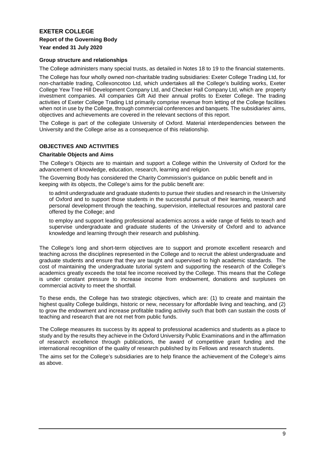# **Group structure and relationships**

The College administers many special trusts, as detailed in Notes 18 to 19 to the financial statements.

The College has four wholly owned non-charitable trading subsidiaries: Exeter College Trading Ltd, for non-charitable trading, Collexoncotoo Ltd, which undertakes all the College's building works, Exeter College Yew Tree Hill Development Company Ltd, and Checker Hall Company Ltd, which are property investment companies. All companies Gift Aid their annual profits to Exeter College. The trading activities of Exeter College Trading Ltd primarily comprise revenue from letting of the College facilities when not in use by the College, through commercial conferences and banquets. The subsidiaries' aims, objectives and achievements are covered in the relevant sections of this report.

The College is part of the collegiate University of Oxford. Material interdependencies between the University and the College arise as a consequence of this relationship.

# **OBJECTIVES AND ACTIVITIES**

# **Charitable Objects and Aims**

The College's Objects are to maintain and support a College within the University of Oxford for the advancement of knowledge, education, research, learning and religion.

The Governing Body has considered the Charity Commission's guidance on public benefit and in keeping with its objects, the College's aims for the public benefit are:

- to admit undergraduate and graduate students to pursue their studies and research in the University of Oxford and to support those students in the successful pursuit of their learning, research and personal development through the teaching, supervision, intellectual resources and pastoral care offered by the College; and
- to employ and support leading professional academics across a wide range of fields to teach and supervise undergraduate and graduate students of the University of Oxford and to advance knowledge and learning through their research and publishing.

The College's long and short-term objectives are to support and promote excellent research and teaching across the disciplines represented in the College and to recruit the ablest undergraduate and graduate students and ensure that they are taught and supervised to high academic standards. The cost of maintaining the undergraduate tutorial system and supporting the research of the College's academics greatly exceeds the total fee income received by the College. This means that the College is under constant pressure to increase income from endowment, donations and surpluses on commercial activity to meet the shortfall.

To these ends, the College has two strategic objectives, which are: (1) to create and maintain the highest quality College buildings, historic or new, necessary for affordable living and teaching, and (2) to grow the endowment and increase profitable trading activity such that both can sustain the costs of teaching and research that are not met from public funds.

The College measures its success by its appeal to professional academics and students as a place to study and by the results they achieve in the Oxford University Public Examinations and in the affirmation of research excellence through publications, the award of competitive grant funding and the international recognition of the quality of research published by its Fellows and research students.

The aims set for the College's subsidiaries are to help finance the achievement of the College's aims as above.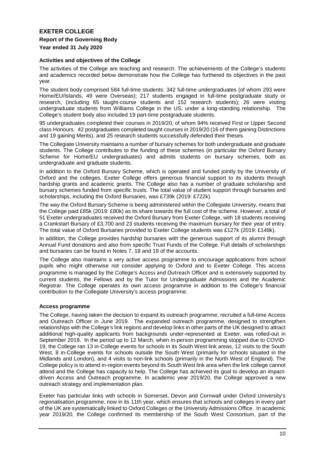# **Activities and objectives of the College**

The activities of the College are teaching and research. The achievements of the College's students and academics recorded below demonstrate how the College has furthered its objectives in the past year.

The student body comprised 584 full-time students: 342 full-time undergraduates (of whom 293 were Home/EU/Islands, 49 were Overseas); 217 students engaged in full-time postgraduate study or research, (including 65 taught-course students and 152 research students); 26 were visiting undergraduate students from Williams College in the US, under a long-standing relationship. The College's student body also included 19 part-time postgraduate students.

95 undergraduates completed their courses in 2019/20, of whom 94% received First or Upper Second class Honours. 42 postgraduates completed taught courses in 2019/20 (16 of them gaining Distinctions and 19 gaining Merits), and 25 research students successfully defended their theses.

The Collegiate University maintains a number of bursary schemes for both undergraduate and graduate students. The College contributes to the funding of these schemes (in particular the Oxford Bursary Scheme for Home/EU undergraduates) and admits students on bursary schemes, both as undergraduate and graduate students.

In addition to the Oxford Bursary Scheme, which is operated and funded jointly by the University of Oxford and the colleges, Exeter College offers generous financial support to its students through hardship grants and academic grants. The College also has a number of graduate scholarship and bursary schemes funded from specific trusts. The total value of student support through bursaries and scholarships, including the Oxford Bursaries, was £739k (2019: £722k).

The way the Oxford Bursary Scheme is being administered within the Collegiate University, means that the College paid £85k (2019: £80k) as its share towards the full cost of the scheme. However, a total of 51 Exeter undergraduates received the Oxford Bursary from Exeter College, with 18 students receiving a Crankstart Bursary of £3,700 and 23 students receiving the maximum bursary for their year of entry. The total value of Oxford Bursaries provided to Exeter College students was £127k (2019: £148k).

In addition, the College provides hardship bursaries with the generous support of its alumni through Annual Fund donations and also from specific Trust Funds of the College. Full details of scholarships and bursaries can be found in Notes 7, 18 and 19 of the accounts.

The College also maintains a very active access programme to encourage applications from school pupils who might otherwise not consider applying to Oxford and to Exeter College. This access programme is managed by the College's Access and Outreach Officer and is extensively supported by current students, the Fellows and by the Tutor for Undergraduate Admissions and the Academic Registrar. The College operates its own access programme in addition to the College's financial contribution to the Collegiate University's access programme.

# **Access programme**

The College, having taken the decision to expand its outreach programme, recruited a full-time Access and Outreach Officer in June 2019. The expanded outreach programme, designed to strengthen relationships with the College's link regions and develop links in other parts of the UK designed to attract additional high-quality applicants from backgrounds under-represented at Exeter, was rolled-out in September 2019. In the period up to 12 March, when in-person programming stopped due to COVID-19, the College ran 13 in-College events for schools in its South West link areas, 12 visits to the South West, 8 in-College events for schools outside the South West (primarily for schools situated in the Midlands and London), and 4 visits to non-link schools (primarily in the North West of England). The College policy is to attend in-region events beyond its South West link area when the link college cannot attend and the College has capacity to help. The College has achieved its goal to develop an impactdriven Access and Outreach programme. In academic year 2019/20, the College approved a new outreach strategy and implementation plan.

Exeter has particular links with schools in Somerset, Devon and Cornwall under Oxford University's regionalisation programme, now in its 11th year, which ensures that schools and colleges in every part of the UK are systematically linked to Oxford Colleges or the University Admissions Office. In academic year 2019/20, the College confirmed its membership of the South West Consortium, part of the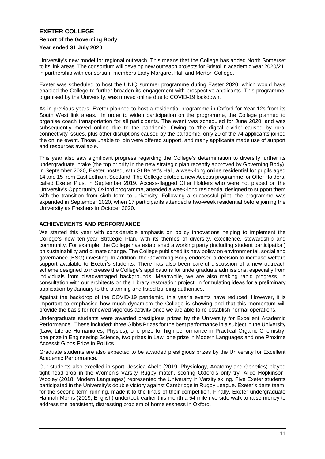University's new model for regional outreach. This means that the College has added North Somerset to its link areas. The consortium will develop new outreach projects for Bristol in academic year 2020/21, in partnership with consortium members Lady Margaret Hall and Merton College.

Exeter was scheduled to host the UNIQ summer programme during Easter 2020, which would have enabled the College to further broaden its engagement with prospective applicants. This programme, organised by the University, was moved online due to COVID-19 lockdown.

As in previous years, Exeter planned to host a residential programme in Oxford for Year 12s from its South West link areas. In order to widen participation on the programme, the College planned to organise coach transportation for all participants. The event was scheduled for June 2020, and was subsequently moved online due to the pandemic. Owing to 'the digital divide' caused by rural connectivity issues, plus other disruptions caused by the pandemic, only 20 of the 74 applicants joined the online event. Those unable to join were offered support, and many applicants made use of support and resources available.

This year also saw significant progress regarding the College's determination to diversify further its undergraduate intake (the top priority in the new strategic plan recently approved by Governing Body). In September 2020, Exeter hosted, with St Benet's Hall, a week-long online residential for pupils aged 14 and 15 from East Lothian, Scotland. The College piloted a new Access programme for Offer Holders, called Exeter Plus, in September 2019. Access-flagged Offer Holders who were not placed on the University's Opportunity Oxford programme, attended a week-long residential designed to support them with the transition from sixth form to university. Following a successful pilot, the programme was expanded in September 2020, when 17 participants attended a two-week residential before joining the University as Freshers in October 2020.

# **ACHIEVEMENTS AND PERFORMANCE**

We started this year with considerable emphasis on policy innovations helping to implement the College's new ten-year Strategic Plan, with its themes of diversity, excellence, stewardship and community. For example, the College has established a working party (including student participation) on sustainability and climate change. The College published its new policy on environmental, social and governance (ESG) investing. In addition, the Governing Body endorsed a decision to increase welfare support available to Exeter's students. There has also been careful discussion of a new outreach scheme designed to increase the College's applications for undergraduate admissions, especially from individuals from disadvantaged backgrounds. Meanwhile, we are also making rapid progress, in consultation with our architects on the Library restoration project, in formulating ideas for a preliminary application by January to the planning and listed building authorities.

Against the backdrop of the COVID-19 pandemic, this year's events have reduced. However, it is important to emphasise how much dynamism the College is showing and that this momentum will provide the basis for renewed vigorous activity once we are able to re-establish normal operations.

Undergraduate students were awarded prestigious prizes by the University for Excellent Academic Performance. These included: three Gibbs Prizes for the best performance in a subject in the University (Law, Literae Humaniores, Physics), one prize for high performance in Practical Organic Chemistry, one prize in Engineering Science, two prizes in Law, one prize in Modern Languages and one Proxime Accessit Gibbs Prize in Politics.

Graduate students are also expected to be awarded prestigious prizes by the University for Excellent Academic Performance.

Our students also excelled in sport. Jessica Abele (2019, Physiology, Anatomy and Genetics) played tight-head-prop in the Women's Varsity Rugby match, scoring Oxford's only try. Alice Hopkinson-Wooley (2018, Modern Languages) represented the University in Varsity skiing. Five Exeter students participated in the University's double victory against Cambridge in Rugby League. Exeter's darts team, for the second term running, made it to the finals of their competition. Finally, Exeter undergraduate Hannah Morris (2019, English) undertook earlier this month a 54-mile riverside walk to raise money to address the persistent, distressing problem of homelessness in Oxford.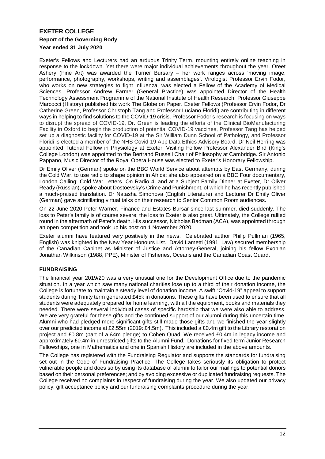Exeter's Fellows and Lecturers had an arduous Trinity Term, mounting entirely online teaching in response to the lockdown. Yet there were major individual achievements throughout the year. Oreet Ashery (Fine Art) was awarded the Turner Bursary – her work ranges across 'moving image, performance, photography, workshops, writing and assemblages'. Virologist Professor Ervin Fodor, who works on new strategies to fight influenza, was elected a Fellow of the Academy of Medical Sciences. Professor Andrew Farmer (General Practice) was appointed Director of the Health Technology Assessment Programme of the National Institute of Health Research. Professor Giuseppe Marcocci (History) published his work The Globe on Paper. Exeter Fellows (Professor Ervin Fodor, Dr Catherine Green, Professor Christoph Tang and Professor Luciano Floridi) are contributing in different ways in helping to find solutions to the COVID-19 crisis. Professor Fodor's research is focusing on ways to disrupt the spread of COVID-19, Dr. Green is leading the efforts of the Clinical BioManufacturing Facility in Oxford to begin the production of potential COVID-19 vaccines, Professor Tang has helped set up a diagnostic facility for COVID-19 at the Sir William Dunn School of Pathology, and Professor Floridi is elected a member of the NHS Covid-19 App Data Ethics Advisory Board. Dr Neil Herring was appointed Tutorial Fellow in Physiology at Exeter. Visiting Fellow Professor Alexander Bird (King's College London) was appointed to the Bertrand Russell Chair of Philosophy at Cambridge. Sir Antonio Pappano, Music Director of the Royal Opera House was elected to Exeter's Honorary Fellowship.

Dr Emily Oliver (German) spoke on the BBC World Service about attempts by East Germany, during the Cold War, to use radio to shape opinion in Africa; she also appeared on a BBC Four documentary, London Calling: Cold War Letters. On Radio 4, and at a Subject Family Dinner at Exeter, Dr Oliver Ready (Russian), spoke about Dostoevsky's Crime and Punishment, of which he has recently published a much-praised translation. Dr Natasha Simonova (English Literature) and Lecturer Dr Emily Oliver (German) gave scintillating virtual talks on their research to Senior Common Room audiences.

On 22 June 2020 Peter Warner, Finance and Estates Bursar since last summer, died suddenly. The loss to Peter's family is of course severe; the loss to Exeter is also great. Ultimately, the College rallied round in the aftermath of Peter's death. His successor, Nicholas Badman (ACA), was appointed through an open competition and took up his post on 1 November 2020.

Exeter alumni have featured very positively in the news. Celebrated author Philip Pullman (1965, English) was knighted in the New Year Honours List. David Lametti (1991, Law) secured membership of the Canadian Cabinet as Minister of Justice and Attorney-General, joining his fellow Exonian Jonathan Wilkinson (1988, PPE), Minister of Fisheries, Oceans and the Canadian Coast Guard.

# **FUNDRAISING**

The financial year 2019/20 was a very unusual one for the Development Office due to the pandemic situation. In a year which saw many national charities lose up to a third of their donation income, the College is fortunate to maintain a steady level of donation income. A swift "Covid-19" appeal to support students during Trinity term generated £45k in donations. These gifts have been used to ensure that all students were adequately prepared for home learning, with all the equipment, books and materials they needed. There were several individual cases of specific hardship that we were also able to address. We are very grateful for these gifts and the continued support of our alumni during this uncertain time. Alumni who had pledged more significant gifts still made those gifts and we finished the year slightly over our predicted income at £2.55m (2019: £4.5m). This included a £0.4m gift to the Library restoration project and £0.8m (part of a £4m pledge) to Cohen Quad. We received £0.4m in legacy income and approximately £0.4m in unrestricted gifts to the Alumni Fund. Donations for fixed term Junior Research Fellowships, one in Mathematics and one in Spanish History are included in the above amounts.

The College has registered with the Fundraising Regulator and supports the standards for fundraising set out in the Code of Fundraising Practice. The College takes seriously its obligation to protect vulnerable people and does so by using its database of alumni to tailor our mailings to potential donors based on their personal preferences; and by avoiding excessive or duplicated fundraising requests. The College received no complaints in respect of fundraising during the year. We also updated our privacy policy, gift acceptance policy and our fundraising complaints procedure during the year.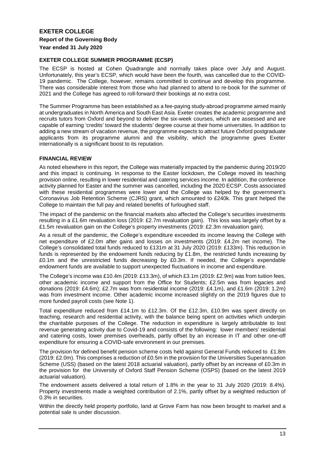# **EXETER COLLEGE SUMMER PROGRAMME (ECSP)**

The ECSP is hosted at Cohen Quadrangle and normally takes place over July and August. Unfortunately, this year's ECSP, which would have been the fourth, was cancelled due to the COVID-19 pandemic. The College, however, remains committed to continue and develop this programme. There was considerable interest from those who had planned to attend to re-book for the summer of 2021 and the College has agreed to roll-forward their bookings at no extra cost.

The Summer Programme has been established as a fee-paying study-abroad programme aimed mainly at undergraduates in North America and South East Asia. Exeter creates the academic programme and recruits tutors from Oxford and beyond to deliver the six-week courses, which are assessed and are capable of earning 'credits' toward the students' degree course at their home universities. In addition to adding a new stream of vacation revenue, the programme expects to attract future Oxford postgraduate applicants from its programme alumni and the visibility, which the programme gives Exeter internationally is a significant boost to its reputation.

# **FINANCIAL REVIEW**

As noted elsewhere in this report, the College was materially impacted by the pandemic during 2019/20 and this impact is continuing. In response to the Easter lockdown, the College moved its teaching provision online, resulting in lower residential and catering services income. In addition, the conference activity planned for Easter and the summer was cancelled, including the 2020 ECSP. Costs associated with these residential programmes were lower and the College was helped by the government's Coronavirus Job Retention Scheme (CJRS) grant, which amounted to £240k. This grant helped the College to maintain the full pay and related benefits of furloughed staff.

The impact of the pandemic on the financial markets also affected the College's securities investments resulting in a £1.6m revaluation loss (2019: £2.7m revaluation gain). This loss was largely offset by a £1.5m revaluation gain on the College's property investments (2019: £2.3m revaluation gain).

As a result of the pandemic, the College's expenditure exceeded its income leaving the College with net expenditure of £2.0m after gains and losses on investments (2019: £4.2m net income). The College's consolidated total funds reduced to £131m at 31 July 2020 (2019: £133m). This reduction in funds is represented by the endowment funds reducing by £1.8m, the restricted funds increasing by £0.1m and the unrestricted funds decreasing by £0.3m. If needed, the College's expendable endowment funds are available to support unexpected fluctuations in income and expenditure.

The College's income was £10.4m (2019: £13.3m), of which £3.1m (2019: £2.9m) was from tuition fees, other academic income and support from the Office for Students; £2.5m was from legacies and donations (2019: £4.6m); £2.7m was from residential income (2019: £4.1m), and £1.6m (2019: 1.2m) was from investment income. Other academic income increased slightly on the 2019 figures due to more funded payroll costs (see Note 1).

Total expenditure reduced from £14.1m to £12.3m. Of the £12.3m, £10.9m was spent directly on teaching, research and residential activity, with the balance being spent on activities which underpin the charitable purposes of the College. The reduction in expenditure is largely attributable to lost revenue generating activity due to Covid-19 and consists of the following: lower members' residential and catering costs, lower premises overheads, partly offset by an increase in IT and other one-off expenditure for ensuring a COVID-safe environment in our premises.

The provision for defined benefit pension scheme costs held against General Funds reduced to £1.8m (2019: £2.0m). This comprises a reduction of £0.5m in the provision for the Universities Superannuation Scheme (USS) (based on the latest 2018 actuarial valuation), partly offset by an increase of £0.3m in the provision for the University of Oxford Staff Pension Scheme (OSPS) (based on the latest 2019 actuarial valuation).

The endowment assets delivered a total return of 1.8% in the year to 31 July 2020 (2019: 8.4%). Property investments made a weighted contribution of 2.1%, partly offset by a weighted reduction of 0.3% in securities.

Within the directly held property portfolio, land at Grove Farm has now been brought to market and a potential sale is under discussion.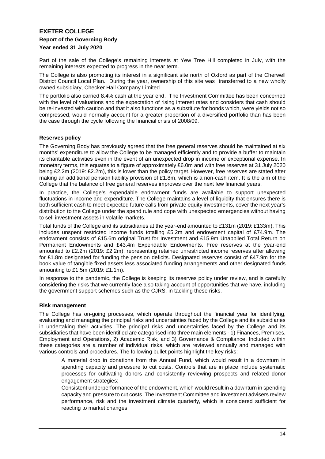Part of the sale of the College's remaining interests at Yew Tree Hill completed in July, with the remaining interests expected to progress in the near term.

The College is also promoting its interest in a significant site north of Oxford as part of the Cherwell District Council Local Plan. During the year, ownership of this site was transferred to a new wholly owned subsidiary, Checker Hall Company Limited

The portfolio also carried 8.4% cash at the year end. The Investment Committee has been concerned with the level of valuations and the expectation of rising interest rates and considers that cash should be re-invested with caution and that it also functions as a substitute for bonds which, were yields not so compressed, would normally account for a greater proportion of a diversified portfolio than has been the case through the cycle following the financial crisis of 2008/09.

# **Reserves policy**

The Governing Body has previously agreed that the free general reserves should be maintained at six months' expenditure to allow the College to be managed efficiently and to provide a buffer to maintain its charitable activities even in the event of an unexpected drop in income or exceptional expense. In monetary terms, this equates to a figure of approximately £6.0m and with free reserves at 31 July 2020 being £2.2m (2019: £2.2m), this is lower than the policy target. However, free reserves are stated after making an additional pension liability provision of £1.8m, which is a non-cash item. It is the aim of the College that the balance of free general reserves improves over the next few financial years.

In practice, the College's expendable endowment funds are available to support unexpected fluctuations in income and expenditure. The College maintains a level of liquidity that ensures there is both sufficient cash to meet expected future calls from private equity investments, cover the next year's distribution to the College under the spend rule and cope with unexpected emergencies without having to sell investment assets in volatile markets.

Total funds of the College and its subsidiaries at the year-end amounted to £131m (2019: £133m). This includes unspent restricted income funds totalling £5.2m and endowment capital of £74.9m. The endowment consists of £15.6m original Trust for Investment and £15.9m Unapplied Total Return on Permanent Endowments and £43.4m Expendable Endowments. Free reserves at the year-end amounted to £2.2m (2019: £2.2m), representing retained unrestricted income reserves after allowing for £1.8m designated for funding the pension deficits. Designated reserves consist of £47.9m for the book value of tangible fixed assets less associated funding arrangements and other designated funds amounting to £1.5m (2019: £1.1m).

In response to the pandemic, the College is keeping its reserves policy under review, and is carefully considering the risks that we currently face also taking account of opportunities that we have, including the government support schemes such as the CJRS, in tackling these risks.

# **Risk management**

The College has on-going processes, which operate throughout the financial year for identifying, evaluating and managing the principal risks and uncertainties faced by the College and its subsidiaries in undertaking their activities. The principal risks and uncertainties faced by the College and its subsidiaries that have been identified are categorised into three main elements - 1) Finances, Premises, Employment and Operations, 2) Academic Risk, and 3) Governance & Compliance. Included within these categories are a number of individual risks, which are reviewed annually and managed with various controls and procedures. The following bullet points highlight the key risks:

- A material drop in donations from the Annual Fund, which would result in a downturn in spending capacity and pressure to cut costs. Controls that are in place include systematic processes for cultivating donors and consistently reviewing prospects and related donor engagement strategies;
- Consistent underperformance of the endowment, which would result in a downturn in spending capacity and pressure to cut costs. The Investment Committee and investment advisers review performance, risk and the investment climate quarterly, which is considered sufficient for reacting to market changes;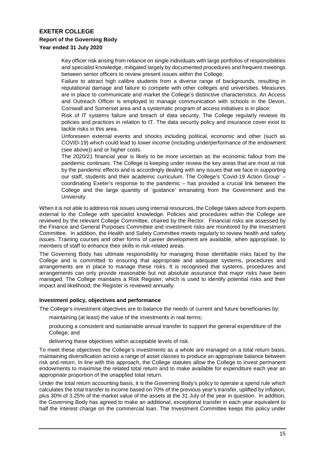- Key officer risk arising from reliance on single individuals with large portfolios of responsibilities and specialist knowledge, mitigated largely by documented procedures and frequent meetings between senior officers to review present issues within the College;
- Failure to attract high calibre students from a diverse range of backgrounds, resulting in reputational damage and failure to compete with other colleges and universities. Measures are in place to communicate and market the College's distinctive characteristics. An Access and Outreach Officer is employed to manage communication with schools in the Devon, Cornwall and Somerset area and a systematic program of access initiatives is in place;
- Risk of IT systems failure and breach of data security. The College regularly reviews its policies and practices in relation to IT. The data security policy and insurance cover exist to tackle risks in this area.
- Unforeseen external events and shocks including political, economic and other (such as COVID-19) which could lead to lower income (including underperformance of the endowment (see above)) and or higher costs.

The 2020/21 financial year is likely to be more uncertain as the economic fallout from the pandemic continues. The College is keeping under review the key areas that are most at risk by the pandemic effects and is accordingly dealing with any issues that we face in supporting our staff, students and their academic curriculum. The College's 'Covid-19 Action Group' – coordinating Exeter's response to the pandemic – has provided a crucial link between the College and the large quantity of 'guidance' emanating from the Government and the University.

When it is not able to address risk issues using internal resources, the College takes advice from experts external to the College with specialist knowledge. Policies and procedures within the College are reviewed by the relevant College Committee, chaired by the Rector. Financial risks are assessed by the Finance and General Purposes Committee and investment risks are monitored by the Investment Committee. In addition, the Health and Safety Committee meets regularly to review health and safety issues. Training courses and other forms of career development are available, when appropriate, to members of staff to enhance their skills in risk-related areas.

The Governing Body has ultimate responsibility for managing those identifiable risks faced by the College and is committed to ensuring that appropriate and adequate systems, procedures and arrangements are in place to manage these risks. It is recognised that systems, procedures and arrangements can only provide reasonable but not absolute assurance that major risks have been managed. The College maintains a Risk Register, which is used to identify potential risks and their impact and likelihood; the Register is reviewed annually.

# **Investment policy, objectives and performance**

The College's investment objectives are to balance the needs of current and future beneficiaries by:

- maintaining (at least) the value of the investments in real terms;
- producing a consistent and sustainable annual transfer to support the general expenditure of the College; and
- delivering these objectives within acceptable levels of risk.

To meet these objectives the College's investments as a whole are managed on a total return basis, maintaining diversification across a range of asset classes to produce an appropriate balance between risk and return. In line with this approach, the College statutes allow the College to invest permanent endowments to maximise the related total return and to make available for expenditure each year an appropriate proportion of the unapplied total return.

Under the total return accounting basis, it is the Governing Body's policy to operate a spend rule which calculates the total transfer to income based on 70% of the previous year's transfer, uplifted by inflation, plus 30% of 3.25% of the market value of the assets at the 31 July of the year in question. In addition, the Governing Body has agreed to make an additional, exceptional transfer in each year equivalent to half the interest charge on the commercial loan. The Investment Committee keeps this policy under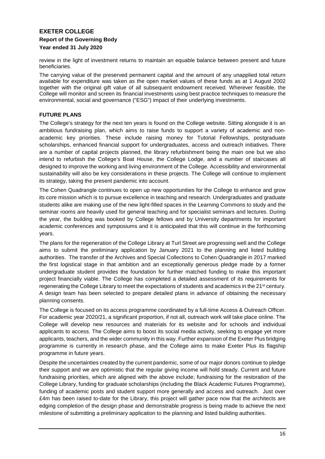review in the light of investment returns to maintain an equable balance between present and future beneficiaries.

The carrying value of the preserved permanent capital and the amount of any unapplied total return available for expenditure was taken as the open market values of these funds as at 1 August 2002 together with the original gift value of all subsequent endowment received. Wherever feasible, the College will monitor and screen its financial investments using best practice techniques to measure the environmental, social and governance ("ESG") impact of their underlying investments.

# **FUTURE PLANS**

The College's strategy for the next ten years is found on the College website. Sitting alongside it is an ambitious fundraising plan, which aims to raise funds to support a variety of academic and nonacademic key priorities. These include raising money for Tutorial Fellowships, postgraduate scholarships, enhanced financial support for undergraduates, access and outreach initiatives. There are a number of capital projects planned, the library refurbishment being the main one but we also intend to refurbish the College's Boat House, the College Lodge, and a number of staircases all designed to improve the working and living environment of the College. Accessibility and environmental sustainability will also be key considerations in these projects. The College will continue to implement its strategy, taking the present pandemic into account.

The Cohen Quadrangle continues to open up new opportunities for the College to enhance and grow its core mission which is to pursue excellence in teaching and research. Undergraduates and graduate students alike are making use of the new light-filled spaces in the Learning Commons to study and the seminar rooms are heavily used for general teaching and for specialist seminars and lectures. During the year, the building was booked by College fellows and by University departments for important academic conferences and symposiums and it is anticipated that this will continue in the forthcoming years.

The plans for the regeneration of the College Library at Turl Street are progressing well and the College aims to submit the preliminary application by January 2021 to the planning and listed building authorities. The transfer of the Archives and Special Collections to Cohen Quadrangle in 2017 marked the first logistical stage in that ambition and an exceptionally generous pledge made by a former undergraduate student provides the foundation for further matched funding to make this important project financially viable. The College has completed a detailed assessment of its requirements for regenerating the College Library to meet the expectations of students and academics in the 21<sup>st</sup> century. A design team has been selected to prepare detailed plans in advance of obtaining the necessary planning consents.

The College is focused on its access programme coordinated by a full-time Access & Outreach Officer. For academic year 2020/21, a significant proportion, if not all, outreach work will take place online. The College will develop new resources and materials for its website and for schools and individual applicants to access. The College aims to boost its social media activity, seeking to engage yet more applicants, teachers, and the wider community in this way. Further expansion of the Exeter Plus bridging programme is currently in research phase, and the College aims to make Exeter Plus its flagship programme in future years.

Despite the uncertainties created by the current pandemic, some of our major donors continue to pledge their support and we are optimistic that the regular giving income will hold steady. Current and future fundraising priorities, which are aligned with the above include; fundraising for the restoration of the College Library, funding for graduate scholarships (including the Black Academic Futures Programme), funding of academic posts and student support more generally and access and outreach. Just over £4m has been raised to-date for the Library, this project will gather pace now that the architects are edging completion of the design phase and demonstrable progress is being made to achieve the next milestone of submitting a preliminary application to the planning and listed building authorities.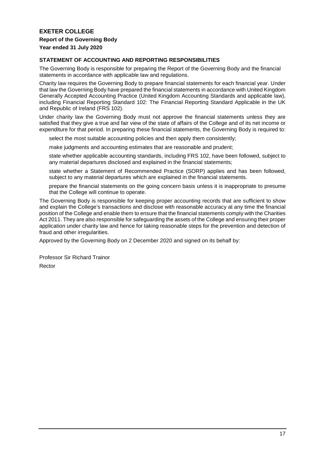# **STATEMENT OF ACCOUNTING AND REPORTING RESPONSIBILITIES**

The Governing Body is responsible for preparing the Report of the Governing Body and the financial statements in accordance with applicable law and regulations.

Charity law requires the Governing Body to prepare financial statements for each financial year. Under that law the Governing Body have prepared the financial statements in accordance with United Kingdom Generally Accepted Accounting Practice (United Kingdom Accounting Standards and applicable law), including Financial Reporting Standard 102: The Financial Reporting Standard Applicable in the UK and Republic of Ireland (FRS 102).

Under charity law the Governing Body must not approve the financial statements unless they are satisfied that they give a true and fair view of the state of affairs of the College and of its net income or expenditure for that period. In preparing these financial statements, the Governing Body is required to:

- select the most suitable accounting policies and then apply them consistently;
- make judgments and accounting estimates that are reasonable and prudent;
- state whether applicable accounting standards, including FRS 102, have been followed, subject to any material departures disclosed and explained in the financial statements;
- state whether a Statement of Recommended Practice (SORP) applies and has been followed, subject to any material departures which are explained in the financial statements.
- prepare the financial statements on the going concern basis unless it is inappropriate to presume that the College will continue to operate.

The Governing Body is responsible for keeping proper accounting records that are sufficient to show and explain the College's transactions and disclose with reasonable accuracy at any time the financial position of the College and enable them to ensure that the financial statements comply with the Charities Act 2011. They are also responsible for safeguarding the assets of the College and ensuring their proper application under charity law and hence for taking reasonable steps for the prevention and detection of fraud and other irregularities.

Approved by the Governing Body on 2 December 2020 and signed on its behalf by:

Professor Sir Richard Trainor Rector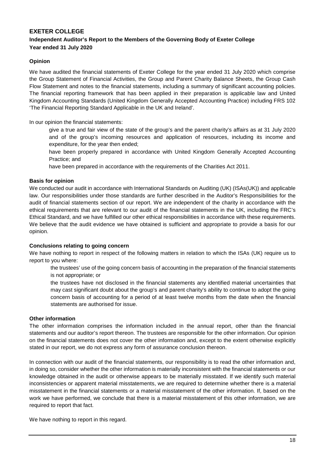# **EXETER COLLEGE Independent Auditor's Report to the Members of the Governing Body of Exeter College Year ended 31 July 2020**

# **Opinion**

We have audited the financial statements of Exeter College for the year ended 31 July 2020 which comprise the Group Statement of Financial Activities, the Group and Parent Charity Balance Sheets, the Group Cash Flow Statement and notes to the financial statements, including a summary of significant accounting policies. The financial reporting framework that has been applied in their preparation is applicable law and United Kingdom Accounting Standards (United Kingdom Generally Accepted Accounting Practice) including FRS 102 'The Financial Reporting Standard Applicable in the UK and Ireland'.

In our opinion the financial statements:

- give a true and fair view of the state of the group's and the parent charity's affairs as at 31 July 2020 and of the group's incoming resources and application of resources, including its income and expenditure, for the year then ended;
- have been properly prepared in accordance with United Kingdom Generally Accepted Accounting Practice; and
- have been prepared in accordance with the requirements of the Charities Act 2011.

# **Basis for opinion**

We conducted our audit in accordance with International Standards on Auditing (UK) (ISAs(UK)) and applicable law. Our responsibilities under those standards are further described in the Auditor's Responsibilities for the audit of financial statements section of our report. We are independent of the charity in accordance with the ethical requirements that are relevant to our audit of the financial statements in the UK, including the FRC's Ethical Standard, and we have fulfilled our other ethical responsibilities in accordance with these requirements. We believe that the audit evidence we have obtained is sufficient and appropriate to provide a basis for our opinion.

# **Conclusions relating to going concern**

We have nothing to report in respect of the following matters in relation to which the ISAs (UK) require us to report to you where:

- the trustees' use of the going concern basis of accounting in the preparation of the financial statements is not appropriate; or
- the trustees have not disclosed in the financial statements any identified material uncertainties that may cast significant doubt about the group's and parent charity's ability to continue to adopt the going concern basis of accounting for a period of at least twelve months from the date when the financial statements are authorised for issue.

#### **Other information**

The other information comprises the information included in the annual report, other than the financial statements and our auditor's report thereon. The trustees are responsible for the other information. Our opinion on the financial statements does not cover the other information and, except to the extent otherwise explicitly stated in our report, we do not express any form of assurance conclusion thereon.

In connection with our audit of the financial statements, our responsibility is to read the other information and, in doing so, consider whether the other information is materially inconsistent with the financial statements or our knowledge obtained in the audit or otherwise appears to be materially misstated. If we identify such material inconsistencies or apparent material misstatements, we are required to determine whether there is a material misstatement in the financial statements or a material misstatement of the other information. If, based on the work we have performed, we conclude that there is a material misstatement of this other information, we are required to report that fact.

We have nothing to report in this regard.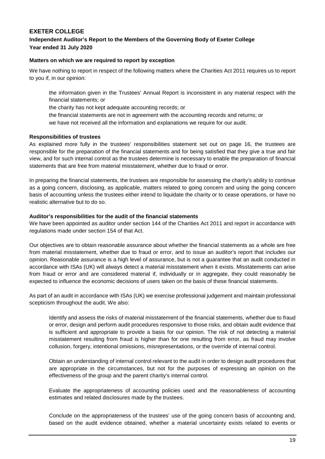# **EXETER COLLEGE Independent Auditor's Report to the Members of the Governing Body of Exeter College Year ended 31 July 2020**

# **Matters on which we are required to report by exception**

We have nothing to report in respect of the following matters where the Charities Act 2011 requires us to report to you if, in our opinion:

- the information given in the Trustees' Annual Report is inconsistent in any material respect with the financial statements; or
- the charity has not kept adequate accounting records; or
- the financial statements are not in agreement with the accounting records and returns; or
- we have not received all the information and explanations we require for our audit.

# **Responsibilities of trustees**

As explained more fully in the trustees' responsibilities statement set out on page 16, the trustees are responsible for the preparation of the financial statements and for being satisfied that they give a true and fair view, and for such internal control as the trustees determine is necessary to enable the preparation of financial statements that are free from material misstatement, whether due to fraud or error.

In preparing the financial statements, the trustees are responsible for assessing the charity's ability to continue as a going concern, disclosing, as applicable, matters related to going concern and using the going concern basis of accounting unless the trustees either intend to liquidate the charity or to cease operations, or have no realistic alternative but to do so.

# **Auditor's responsibilities for the audit of the financial statements**

We have been appointed as auditor under section 144 of the Charities Act 2011 and report in accordance with regulations made under section 154 of that Act.

Our objectives are to obtain reasonable assurance about whether the financial statements as a whole are free from material misstatement, whether due to fraud or error, and to issue an auditor's report that includes our opinion. Reasonable assurance is a high level of assurance, but is not a guarantee that an audit conducted in accordance with ISAs (UK) will always detect a material misstatement when it exists. Misstatements can arise from fraud or error and are considered material if, individually or in aggregate, they could reasonably be expected to influence the economic decisions of users taken on the basis of these financial statements.

As part of an audit in accordance with ISAs (UK) we exercise professional judgement and maintain professional scepticism throughout the audit. We also:

- Identify and assess the risks of material misstatement of the financial statements, whether due to fraud or error, design and perform audit procedures responsive to those risks, and obtain audit evidence that is sufficient and appropriate to provide a basis for our opinion. The risk of not detecting a material misstatement resulting from fraud is higher than for one resulting from error, as fraud may involve collusion, forgery, intentional omissions, misrepresentations, or the override of internal control.
- Obtain an understanding of internal control relevant to the audit in order to design audit procedures that are appropriate in the circumstances, but not for the purposes of expressing an opinion on the effectiveness of the group and the parent charity's internal control.
- Evaluate the appropriateness of accounting policies used and the reasonableness of accounting estimates and related disclosures made by the trustees.
- Conclude on the appropriateness of the trustees' use of the going concern basis of accounting and, based on the audit evidence obtained, whether a material uncertainty exists related to events or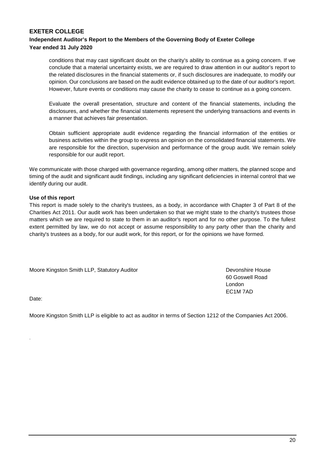# **EXETER COLLEGE Independent Auditor's Report to the Members of the Governing Body of Exeter College Year ended 31 July 2020**

conditions that may cast significant doubt on the charity's ability to continue as a going concern. If we conclude that a material uncertainty exists, we are required to draw attention in our auditor's report to the related disclosures in the financial statements or, if such disclosures are inadequate, to modify our opinion. Our conclusions are based on the audit evidence obtained up to the date of our auditor's report. However, future events or conditions may cause the charity to cease to continue as a going concern.

- Evaluate the overall presentation, structure and content of the financial statements, including the disclosures, and whether the financial statements represent the underlying transactions and events in a manner that achieves fair presentation.
- Obtain sufficient appropriate audit evidence regarding the financial information of the entities or business activities within the group to express an opinion on the consolidated financial statements. We are responsible for the direction, supervision and performance of the group audit. We remain solely responsible for our audit report.

We communicate with those charged with governance regarding, among other matters, the planned scope and timing of the audit and significant audit findings, including any significant deficiencies in internal control that we identify during our audit.

# **Use of this report**

This report is made solely to the charity's trustees, as a body, in accordance with Chapter 3 of Part 8 of the Charities Act 2011. Our audit work has been undertaken so that we might state to the charity's trustees those matters which we are required to state to them in an auditor's report and for no other purpose. To the fullest extent permitted by law, we do not accept or assume responsibility to any party other than the charity and charity's trustees as a body, for our audit work, for this report, or for the opinions we have formed.

Moore Kingston Smith LLP, Statutory Auditor **Noting the Statutory Auditor** Devonshire House

60 Goswell Road London EC1M 7AD

Date:

.

Moore Kingston Smith LLP is eligible to act as auditor in terms of Section 1212 of the Companies Act 2006.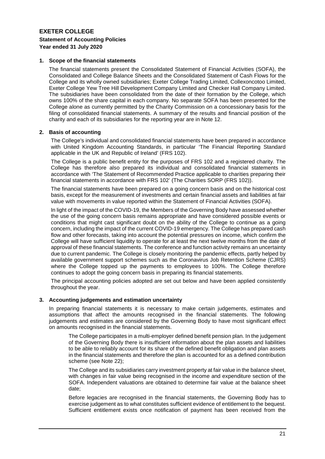# **1. Scope of the financial statements**

The financial statements present the Consolidated Statement of Financial Activities (SOFA), the Consolidated and College Balance Sheets and the Consolidated Statement of Cash Flows for the College and its wholly owned subsidiaries; Exeter College Trading Limited, Collexoncotoo Limited, Exeter College Yew Tree Hill Development Company Limited and Checker Hall Company Limited. The subsidiaries have been consolidated from the date of their formation by the College, which owns 100% of the share capital in each company. No separate SOFA has been presented for the College alone as currently permitted by the Charity Commission on a concessionary basis for the filing of consolidated financial statements. A summary of the results and financial position of the charity and each of its subsidiaries for the reporting year are in Note 12.

### **2. Basis of accounting**

The College's individual and consolidated financial statements have been prepared in accordance with United Kingdom Accounting Standards, in particular 'The Financial Reporting Standard applicable in the UK and Republic of Ireland' (FRS 102).

The College is a public benefit entity for the purposes of FRS 102 and a registered charity. The College has therefore also prepared its individual and consolidated financial statements in accordance with 'The Statement of Recommended Practice applicable to charities preparing their financial statements in accordance with FRS 102' (The Charities SORP (FRS 102)).

The financial statements have been prepared on a going concern basis and on the historical cost basis, except for the measurement of investments and certain financial assets and liabilities at fair value with movements in value reported within the Statement of Financial Activities (SOFA).

In light of the impact of the COVID-19, the Members of the Governing Body have assessed whether the use of the going concern basis remains appropriate and have considered possible events or conditions that might cast significant doubt on the ability of the College to continue as a going concern, including the impact of the current COVID-19 emergency. The College has prepared cash flow and other forecasts, taking into account the potential pressures on income, which confirm the College will have sufficient liquidity to operate for at least the next twelve months from the date of approval of these financial statements. The conference and function activity remains an uncertainty due to current pandemic. The College is closely monitoring the pandemic effects, partly helped by available government support schemes such as the Coronavirus Job Retention Scheme (CJRS) where the College topped up the payments to employees to 100%. The College therefore continues to adopt the going concern basis in preparing its financial statements.

The principal accounting policies adopted are set out below and have been applied consistently throughout the year.

# **3. Accounting judgements and estimation uncertainty**

In preparing financial statements it is necessary to make certain judgements, estimates and assumptions that affect the amounts recognised in the financial statements. The following judgements and estimates are considered by the Governing Body to have most significant effect on amounts recognised in the financial statements.

- The College participates in a multi-employer defined benefit pension plan. In the judgement of the Governing Body there is insufficient information about the plan assets and liabilities to be able to reliably account for its share of the defined benefit obligation and plan assets in the financial statements and therefore the plan is accounted for as a defined contribution scheme (see Note 22);
- The College and its subsidiaries carry investment property at fair value in the balance sheet, with changes in fair value being recognised in the income and expenditure section of the SOFA. Independent valuations are obtained to determine fair value at the balance sheet date;
- Before legacies are recognised in the financial statements, the Governing Body has to exercise judgement as to what constitutes sufficient evidence of entitlement to the bequest. Sufficient entitlement exists once notification of payment has been received from the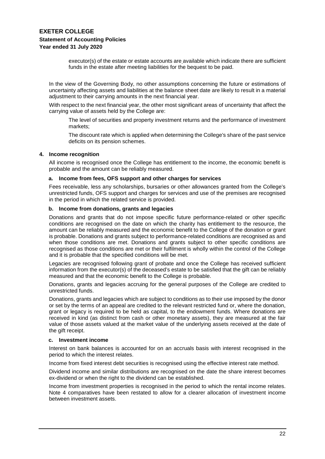executor(s) of the estate or estate accounts are available which indicate there are sufficient funds in the estate after meeting liabilities for the bequest to be paid.

In the view of the Governing Body, no other assumptions concerning the future or estimations of uncertainty affecting assets and liabilities at the balance sheet date are likely to result in a material adjustment to their carrying amounts in the next financial year.

With respect to the next financial year, the other most significant areas of uncertainty that affect the carrying value of assets held by the College are:

- The level of securities and property investment returns and the performance of investment markets;
- The discount rate which is applied when determining the College's share of the past service deficits on its pension schemes.

### **4. Income recognition**

All income is recognised once the College has entitlement to the income, the economic benefit is probable and the amount can be reliably measured.

#### **a. Income from fees, OFS support and other charges for services**

Fees receivable, less any scholarships, bursaries or other allowances granted from the College's unrestricted funds, OFS support and charges for services and use of the premises are recognised in the period in which the related service is provided.

### **b. Income from donations, grants and legacies**

Donations and grants that do not impose specific future performance-related or other specific conditions are recognised on the date on which the charity has entitlement to the resource, the amount can be reliably measured and the economic benefit to the College of the donation or grant is probable. Donations and grants subject to performance-related conditions are recognised as and when those conditions are met. Donations and grants subject to other specific conditions are recognised as those conditions are met or their fulfilment is wholly within the control of the College and it is probable that the specified conditions will be met.

Legacies are recognised following grant of probate and once the College has received sufficient information from the executor(s) of the deceased's estate to be satisfied that the gift can be reliably measured and that the economic benefit to the College is probable.

Donations, grants and legacies accruing for the general purposes of the College are credited to unrestricted funds.

Donations, grants and legacies which are subject to conditions as to their use imposed by the donor or set by the terms of an appeal are credited to the relevant restricted fund or, where the donation, grant or legacy is required to be held as capital, to the endowment funds. Where donations are received in kind (as distinct from cash or other monetary assets), they are measured at the fair value of those assets valued at the market value of the underlying assets received at the date of the gift receipt.

#### **c. Investment income**

Interest on bank balances is accounted for on an accruals basis with interest recognised in the period to which the interest relates.

Income from fixed interest debt securities is recognised using the effective interest rate method.

Dividend income and similar distributions are recognised on the date the share interest becomes ex-dividend or when the right to the dividend can be established.

Income from investment properties is recognised in the period to which the rental income relates. Note 4 comparatives have been restated to allow for a clearer allocation of investment income between investment assets.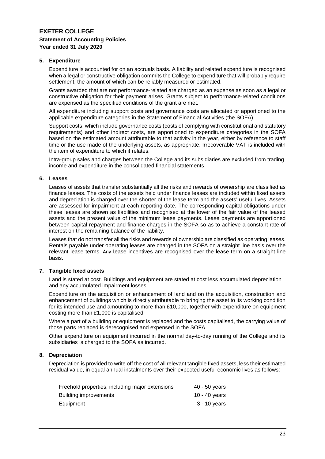# **5. Expenditure**

Expenditure is accounted for on an accruals basis. A liability and related expenditure is recognised when a legal or constructive obligation commits the College to expenditure that will probably require settlement, the amount of which can be reliably measured or estimated.

Grants awarded that are not performance-related are charged as an expense as soon as a legal or constructive obligation for their payment arises. Grants subject to performance-related conditions are expensed as the specified conditions of the grant are met.

All expenditure including support costs and governance costs are allocated or apportioned to the applicable expenditure categories in the Statement of Financial Activities (the SOFA).

Support costs, which include governance costs (costs of complying with constitutional and statutory requirements) and other indirect costs, are apportioned to expenditure categories in the SOFA based on the estimated amount attributable to that activity in the year, either by reference to staff time or the use made of the underlying assets, as appropriate. Irrecoverable VAT is included with the item of expenditure to which it relates.

Intra-group sales and charges between the College and its subsidiaries are excluded from trading income and expenditure in the consolidated financial statements.

# **6. Leases**

Leases of assets that transfer substantially all the risks and rewards of ownership are classified as finance leases. The costs of the assets held under finance leases are included within fixed assets and depreciation is charged over the shorter of the lease term and the assets' useful lives. Assets are assessed for impairment at each reporting date. The corresponding capital obligations under these leases are shown as liabilities and recognised at the lower of the fair value of the leased assets and the present value of the minimum lease payments. Lease payments are apportioned between capital repayment and finance charges in the SOFA so as to achieve a constant rate of interest on the remaining balance of the liability.

Leases that do not transfer all the risks and rewards of ownership are classified as operating leases. Rentals payable under operating leases are charged in the SOFA on a straight line basis over the relevant lease terms. Any lease incentives are recognised over the lease term on a straight line basis.

# **7. Tangible fixed assets**

Land is stated at cost. Buildings and equipment are stated at cost less accumulated depreciation and any accumulated impairment losses.

Expenditure on the acquisition or enhancement of land and on the acquisition, construction and enhancement of buildings which is directly attributable to bringing the asset to its working condition for its intended use and amounting to more than £10,000, together with expenditure on equipment costing more than £1,000 is capitalised.

Where a part of a building or equipment is replaced and the costs capitalised, the carrying value of those parts replaced is derecognised and expensed in the SOFA.

Other expenditure on equipment incurred in the normal day-to-day running of the College and its subsidiaries is charged to the SOFA as incurred.

# **8. Depreciation**

Depreciation is provided to write off the cost of all relevant tangible fixed assets, less their estimated residual value, in equal annual instalments over their expected useful economic lives as follows:

| Freehold properties, including major extensions | 40 - 50 years |
|-------------------------------------------------|---------------|
| Building improvements                           | 10 - 40 years |
| Equipment                                       | 3 - 10 vears  |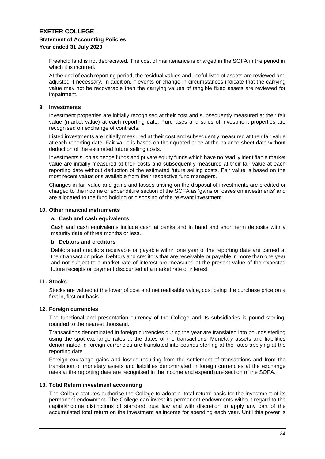Freehold land is not depreciated. The cost of maintenance is charged in the SOFA in the period in which it is incurred.

At the end of each reporting period, the residual values and useful lives of assets are reviewed and adjusted if necessary. In addition, if events or change in circumstances indicate that the carrying value may not be recoverable then the carrying values of tangible fixed assets are reviewed for impairment.

### **9. Investments**

Investment properties are initially recognised at their cost and subsequently measured at their fair value (market value) at each reporting date. Purchases and sales of investment properties are recognised on exchange of contracts.

Listed investments are initially measured at their cost and subsequently measured at their fair value at each reporting date. Fair value is based on their quoted price at the balance sheet date without deduction of the estimated future selling costs.

Investments such as hedge funds and private equity funds which have no readily identifiable market value are initially measured at their costs and subsequently measured at their fair value at each reporting date without deduction of the estimated future selling costs. Fair value is based on the most recent valuations available from their respective fund managers.

Changes in fair value and gains and losses arising on the disposal of investments are credited or charged to the income or expenditure section of the SOFA as 'gains or losses on investments' and are allocated to the fund holding or disposing of the relevant investment.

### **10. Other financial instruments**

# **a. Cash and cash equivalents**

Cash and cash equivalents include cash at banks and in hand and short term deposits with a maturity date of three months or less.

#### **b. Debtors and creditors**

Debtors and creditors receivable or payable within one year of the reporting date are carried at their transaction price. Debtors and creditors that are receivable or payable in more than one year and not subject to a market rate of interest are measured at the present value of the expected future receipts or payment discounted at a market rate of interest.

# **11. Stocks**

Stocks are valued at the lower of cost and net realisable value, cost being the purchase price on a first in, first out basis.

#### **12. Foreign currencies**

The functional and presentation currency of the College and its subsidiaries is pound sterling, rounded to the nearest thousand.

Transactions denominated in foreign currencies during the year are translated into pounds sterling using the spot exchange rates at the dates of the transactions. Monetary assets and liabilities denominated in foreign currencies are translated into pounds sterling at the rates applying at the reporting date.

Foreign exchange gains and losses resulting from the settlement of transactions and from the translation of monetary assets and liabilities denominated in foreign currencies at the exchange rates at the reporting date are recognised in the income and expenditure section of the SOFA.

# **13. Total Return investment accounting**

The College statutes authorise the College to adopt a 'total return' basis for the investment of its permanent endowment. The College can invest its permanent endowments without regard to the capital/income distinctions of standard trust law and with discretion to apply any part of the accumulated total return on the investment as income for spending each year. Until this power is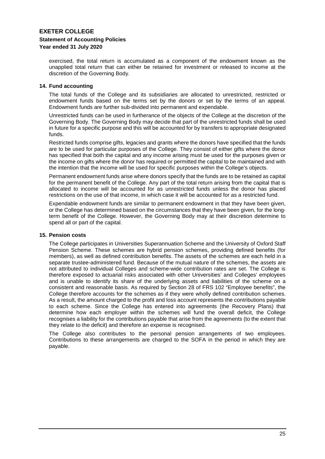exercised, the total return is accumulated as a component of the endowment known as the unapplied total return that can either be retained for investment or released to income at the discretion of the Governing Body.

### **14. Fund accounting**

The total funds of the College and its subsidiaries are allocated to unrestricted, restricted or endowment funds based on the terms set by the donors or set by the terms of an appeal. Endowment funds are further sub-divided into permanent and expendable.

Unrestricted funds can be used in furtherance of the objects of the College at the discretion of the Governing Body. The Governing Body may decide that part of the unrestricted funds shall be used in future for a specific purpose and this will be accounted for by transfers to appropriate designated funds.

Restricted funds comprise gifts, legacies and grants where the donors have specified that the funds are to be used for particular purposes of the College. They consist of either gifts where the donor has specified that both the capital and any income arising must be used for the purposes given or the income on gifts where the donor has required or permitted the capital to be maintained and with the intention that the income will be used for specific purposes within the College's objects.

Permanent endowment funds arise where donors specify that the funds are to be retained as capital for the permanent benefit of the College. Any part of the total return arising from the capital that is allocated to income will be accounted for as unrestricted funds unless the donor has placed restrictions on the use of that income, in which case it will be accounted for as a restricted fund.

Expendable endowment funds are similar to permanent endowment in that they have been given, or the College has determined based on the circumstances that they have been given, for the longterm benefit of the College. However, the Governing Body may at their discretion determine to spend all or part of the capital.

# **15. Pension costs**

The College participates in Universities Superannuation Scheme and the University of Oxford Staff Pension Scheme. These schemes are hybrid pension schemes, providing defined benefits (for members), as well as defined contribution benefits. The assets of the schemes are each held in a separate trustee-administered fund. Because of the mutual nature of the schemes, the assets are not attributed to individual Colleges and scheme-wide contribution rates are set. The College is therefore exposed to actuarial risks associated with other Universities' and Colleges' employees and is unable to identify its share of the underlying assets and liabilities of the scheme on a consistent and reasonable basis. As required by Section 28 of FRS 102 "Employee benefits", the College therefore accounts for the schemes as if they were wholly defined contribution schemes. As a result, the amount charged to the profit and loss account represents the contributions payable to each scheme. Since the College has entered into agreements (the Recovery Plans) that determine how each employer within the schemes will fund the overall deficit, the College recognises a liability for the contributions payable that arise from the agreements (to the extent that they relate to the deficit) and therefore an expense is recognised.

The College also contributes to the personal pension arrangements of two employees. Contributions to these arrangements are charged to the SOFA in the period in which they are payable.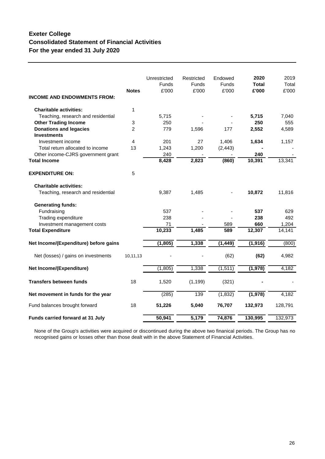# **Exeter College Consolidated Statement of Financial Activities For the year ended 31 July 2020**

| <b>INCOME AND ENDOWMENTS FROM:</b>    | <b>Notes</b>            | Unrestricted<br><b>Funds</b><br>£'000 | Restricted<br>Funds<br>£'000 | Endowed<br>Funds<br>£'000 | 2020<br>Total<br>£'000 | 2019<br>Total<br>£'000 |
|---------------------------------------|-------------------------|---------------------------------------|------------------------------|---------------------------|------------------------|------------------------|
| <b>Charitable activities:</b>         | 1                       |                                       |                              |                           |                        |                        |
| Teaching, research and residential    |                         | 5,715                                 |                              |                           | 5,715                  | 7,040                  |
| <b>Other Trading Income</b>           | 3                       | 250                                   |                              |                           | 250                    | 555                    |
| <b>Donations and legacies</b>         | $\mathfrak{p}$          | 779                                   | 1,596                        | 177                       | 2,552                  | 4,589                  |
| <b>Investments</b>                    |                         |                                       |                              |                           |                        |                        |
| Investment income                     | $\overline{\mathbf{4}}$ | 201                                   | 27                           | 1,406                     | 1,634                  | 1,157                  |
| Total return allocated to income      | 13                      | 1,243                                 | 1,200                        | (2, 443)                  |                        |                        |
| Other income-CJRS government grant    |                         | 240                                   |                              |                           | 240                    |                        |
| <b>Total Income</b>                   |                         | 8,428                                 | 2,823                        | (860)                     | 10,391                 | 13,341                 |
| <b>EXPENDITURE ON:</b>                | 5                       |                                       |                              |                           |                        |                        |
| <b>Charitable activities:</b>         |                         |                                       |                              |                           |                        |                        |
| Teaching, research and residential    |                         | 9,387                                 | 1,485                        |                           | 10,872                 | 11.816                 |
| <b>Generating funds:</b>              |                         |                                       |                              |                           |                        |                        |
| Fundraising                           |                         | 537                                   |                              |                           | 537                    | 629                    |
| Trading expenditure                   |                         | 238                                   |                              |                           | 238                    | 492                    |
| Investment management costs           |                         | 71                                    |                              | 589                       | 660                    | 1,204                  |
| <b>Total Expenditure</b>              |                         | 10,233                                | 1,485                        | 589                       | 12,307                 | 14,141                 |
| Net Income/(Expenditure) before gains |                         | (1, 805)                              | 1,338                        | (1, 449)                  | (1, 916)               | (800)                  |
| Net (losses) / gains on investments   | 10,11,13                |                                       |                              | (62)                      | (62)                   | 4,982                  |
| Net Income/(Expenditure)              |                         | (1,805)                               | 1,338                        | (1, 511)                  | (1, 978)               | 4,182                  |
| <b>Transfers between funds</b>        | 18                      | 1,520                                 | (1, 199)                     | (321)                     |                        |                        |
| Net movement in funds for the year    |                         | (285)                                 | 139                          | (1,832)                   | (1, 978)               | 4,182                  |
| Fund balances brought forward         | 18                      | 51,226                                | 5,040                        | 76,707                    | 132,973                | 128,791                |
| Funds carried forward at 31 July      |                         | 50,941                                | 5,179                        | 74,876                    | 130,995                | 132,973                |

None of the Group's activities were acquired or discontinued during the above two finanical periods. The Group has no recognised gains or losses other than those dealt with in the above Statement of Financial Activities.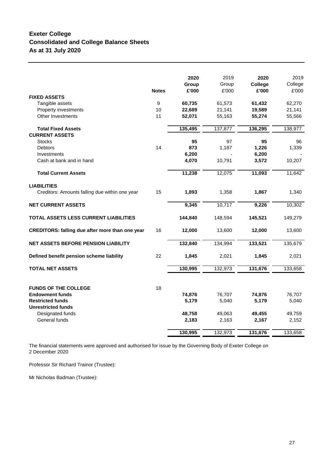# **Exeter College Consolidated and College Balance Sheets As at 31 July 2020**

|                                                        | <b>Notes</b> | 2020<br>Group<br>£'000 | 2019<br>Group<br>£'000 | 2020<br>College<br>£'000 | 2019<br>College<br>£'000 |
|--------------------------------------------------------|--------------|------------------------|------------------------|--------------------------|--------------------------|
| <b>FIXED ASSETS</b>                                    |              |                        |                        |                          |                          |
| Tangible assets                                        | 9            | 60,735                 | 61,573                 | 61,432                   | 62,270                   |
| Property investments                                   | 10           | 22,689                 | 21,141                 | 19,589                   | 21,141                   |
| Other Investments                                      | 11           | 52,071                 | 55,163                 | 55,274                   | 55,566                   |
| <b>Total Fixed Assets</b>                              |              | 135,495                | 137,877                | 136,295                  | 138,977                  |
| <b>CURRENT ASSETS</b>                                  |              |                        |                        |                          |                          |
| <b>Stocks</b>                                          |              | 95                     | 97                     | 95                       | 96                       |
| <b>Debtors</b>                                         | 14           | 873                    | 1,187                  | 1,226                    | 1,339                    |
| Investments                                            |              | 6,200                  |                        | 6,200                    |                          |
| Cash at bank and in hand                               |              | 4,070                  | 10,791                 | 3,572                    | 10,207                   |
| <b>Total Current Assets</b>                            |              | 11,238                 | 12,075                 | 11,093                   | 11,642                   |
| <b>LIABILITIES</b>                                     |              |                        |                        |                          |                          |
| Creditors: Amounts falling due within one year         | 15           | 1,893                  | 1,358                  | 1,867                    | 1,340                    |
| <b>NET CURRENT ASSETS</b>                              |              | 9,345                  | 10,717                 | 9,226                    | 10,302                   |
| TOTAL ASSETS LESS CURRENT LIABILITIES                  |              | 144,840                | 148,594                | 145,521                  | 149,279                  |
| <b>CREDITORS: falling due after more than one year</b> | 16           | 12,000                 | 13,600                 | 12,000                   | 13,600                   |
| <b>NET ASSETS BEFORE PENSION LIABILITY</b>             |              | 132,840                | 134,994                | 133,521                  | 135,679                  |
| Defined benefit pension scheme liability               | 22           | 1,845                  | 2,021                  | 1,845                    | 2,021                    |
| <b>TOTAL NET ASSETS</b>                                |              | 130,995                | 132,973                | 131,676                  | 133,658                  |
| <b>FUNDS OF THE COLLEGE</b>                            | 18           |                        |                        |                          |                          |
| <b>Endowment funds</b>                                 |              | 74,876                 | 76,707                 | 74,876                   | 76,707                   |
| <b>Restricted funds</b>                                |              | 5,179                  | 5,040                  | 5,179                    | 5,040                    |
| <b>Unrestricted funds</b>                              |              |                        |                        |                          |                          |
|                                                        |              |                        |                        |                          | 49.759                   |
| Designated funds<br>General funds                      |              | 48,758<br>2,183        | 49,063<br>2,163        | 49,455<br>2,167          | 2,152                    |
|                                                        |              | 130,995                | 132,973                | 131,676                  | 133,658                  |

The financial statements were approved and authorised for issue by the Governing Body of Exeter College on 2 December 2020

Professor Sir Richard Trainor (Trustee):

Mr Nicholas Badman (Trustee):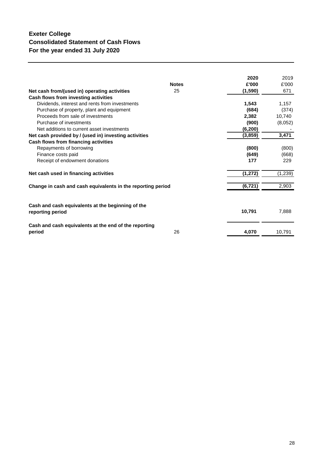# **Exeter College Consolidated Statement of Cash Flows For the year ended 31 July 2020**

|                                                                       |              | 2020     | 2019     |
|-----------------------------------------------------------------------|--------------|----------|----------|
|                                                                       | <b>Notes</b> | £'000    | £'000    |
| Net cash from/(used in) operating activities                          | 25           | (1, 590) | 671      |
| Cash flows from investing activities                                  |              |          |          |
| Dividends, interest and rents from investments                        |              | 1,543    | 1,157    |
| Purchase of property, plant and equipment                             |              | (684)    | (374)    |
| Proceeds from sale of investments                                     |              | 2,382    | 10,740   |
| Purchase of investments                                               |              | (900)    | (8,052)  |
| Net additions to current asset investments                            |              | (6, 200) |          |
| Net cash provided by / (used in) investing activities                 |              | (3, 859) | 3,471    |
| Cash flows from financing activities                                  |              |          |          |
| Repayments of borrowing                                               |              | (800)    | (800)    |
| Finance costs paid                                                    |              | (649)    | (668)    |
| Receipt of endowment donations                                        |              | 177      | 229      |
| Net cash used in financing activities                                 |              | (1, 272) | (1, 239) |
| Change in cash and cash equivalents in the reporting period           |              | (6, 721) | 2,903    |
| Cash and cash equivalents at the beginning of the<br>reporting period |              | 10,791   | 7,888    |
| Cash and cash equivalents at the end of the reporting<br>period       | 26           | 4,070    | 10,791   |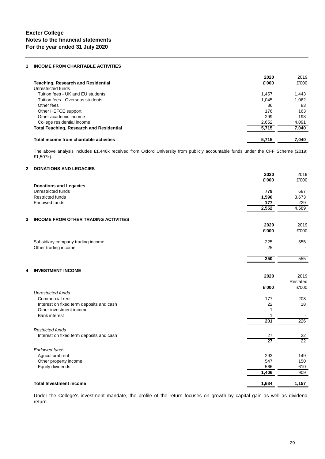#### **1 INCOME FROM CHARITABLE ACTIVITIES**

|                                                 | 2020  | 2019  |
|-------------------------------------------------|-------|-------|
| <b>Teaching, Research and Residential</b>       | £'000 | £'000 |
| Unrestricted funds                              |       |       |
| Tuition fees - UK and EU students               | 1.457 | 1.443 |
| Tuition fees - Overseas students                | 1.045 | 1.062 |
| Other fees                                      | 86    | 83    |
| Other HEFCE support                             | 176   | 163   |
| Other academic income                           | 299   | 198   |
| College residential income                      | 2,652 | 4,091 |
| <b>Total Teaching, Research and Residential</b> | 5,715 | 7,040 |
| Total income from charitable activities         | 5.715 | 7.040 |

The above analysis includes £1,446k received from Oxford University from publicly accountable funds under the CFF Scheme (2019: £1,507k).

#### **2 DONATIONS AND LEGACIES**

|   |                                                                     | 2020             | 2019      |
|---|---------------------------------------------------------------------|------------------|-----------|
|   |                                                                     | £'000            | £'000     |
|   | <b>Donations and Legacies</b>                                       |                  |           |
|   | Unrestricted funds                                                  | 779              | 687       |
|   | <b>Restricted funds</b>                                             | 1,596            | 3,673     |
|   | <b>Endowed funds</b>                                                | 177              | 229       |
|   |                                                                     | 2,552            | 4,589     |
|   |                                                                     |                  |           |
| 3 | <b>INCOME FROM OTHER TRADING ACTIVITIES</b>                         |                  |           |
|   |                                                                     | 2020             | 2019      |
|   |                                                                     | £'000            | £'000     |
|   | Subsidiary company trading income                                   | 225              | 555       |
|   | Other trading income                                                | 25               |           |
|   |                                                                     |                  |           |
|   |                                                                     | 250              | 555       |
|   |                                                                     |                  |           |
| 4 | <b>INVESTMENT INCOME</b>                                            |                  |           |
|   |                                                                     | 2020             | 2019      |
|   |                                                                     |                  | Restated  |
|   |                                                                     | £'000            | £'000     |
|   | <b>Unrestricted funds</b>                                           |                  |           |
|   | Commercial rent                                                     | 177<br>22        | 208<br>18 |
|   | Interest on fixed term deposits and cash<br>Other investment income |                  |           |
|   | <b>Bank interest</b>                                                | 1<br>1           |           |
|   |                                                                     | $\overline{201}$ | 226       |
|   |                                                                     |                  |           |
|   | <b>Restricted funds</b>                                             |                  |           |
|   | Interest on fixed term deposits and cash                            | 27               | 22        |
|   |                                                                     | $\overline{27}$  | 22        |
|   | <b>Endowed funds</b>                                                |                  |           |
|   | Agricultural rent                                                   | 293              | 149       |
|   | Other property income                                               | 547              | 150       |
|   | Equity dividends                                                    | 566              | 610       |
|   |                                                                     | 1,406            | 909       |
|   |                                                                     |                  |           |
|   | <b>Total Investment income</b>                                      | 1,634            | 1,157     |

Under the College's investment mandate, the profile of the return focuses on growth by capital gain as well as dividend return.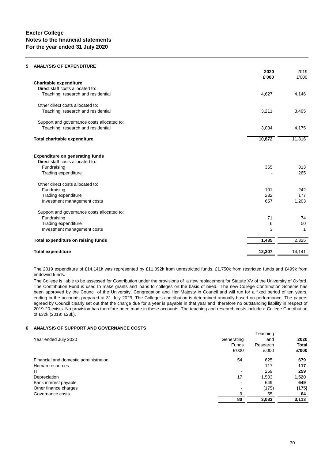| 5<br><b>ANALYSIS OF EXPENDITURE</b>                               | 2020<br>£'000 | 2019<br>£'000 |
|-------------------------------------------------------------------|---------------|---------------|
| <b>Charitable expenditure</b><br>Direct staff costs allocated to: |               |               |
| Teaching, research and residential                                | 4,627         | 4,146         |
| Other direct costs allocated to:                                  |               |               |
| Teaching, research and residential                                | 3,211         | 3,495         |
| Support and governance costs allocated to:                        |               |               |
| Teaching, research and residential                                | 3,034         | 4,175         |
| Total charitable expenditure                                      | 10,872        | 11,816        |
| <b>Expenditure on generating funds</b>                            |               |               |
| Direct staff costs allocated to:                                  |               |               |
| Fundraising<br>Trading expenditure                                | 365           | 313<br>265    |
| Other direct costs allocated to:                                  |               |               |
| Fundraising                                                       | 101           | 242           |
| Trading expenditure                                               | 232           | 177           |
| Investment management costs                                       | 657           | 1,203         |
| Support and governance costs allocated to:                        |               |               |
| Fundraising                                                       | 71            | 74            |
| Trading expenditure                                               | 6             | 50            |
| Investment management costs                                       | 3             | 1             |
| Total expenditure on raising funds                                | 1,435         | 2,325         |
| <b>Total expenditure</b>                                          | 12,307        | 14,141        |

The 2019 expenditure of £14,141k was represented by £11,892k from unrestricted funds, £1,750k from restricted funds and £499k from endowed funds.

The College is liable to be assessed for Contribution under the provisions of a new replacement for Statute XV of the University of Oxford. The Contribution Fund is used to make grants and loans to colleges on the basis of need. The new College Contribution Scheme has been approved by the Council of the University, Congregation and Her Majesty in Council and will run for a fixed period of ten years, ending in the accounts prepared at 31 July 2029. The College's contribution is determined annually based on performance. The papers agreed by Council clearly set out that the charge due for a year is payable in that year and therefore no outstanding liability in respect of 2019-20 exists. No provision has therefore been made in these accounts. The teaching and research costs include a College Contribution of £32k (2019: £23k).

#### **6 ANALYSIS OF SUPPORT AND GOVERNANCE COSTS**

| ANALIUD OI OUI I UNI AND OOTLINNIVL OOUIO |            |          |              |
|-------------------------------------------|------------|----------|--------------|
|                                           |            | Teaching |              |
| Year ended July 2020                      | Generating | and      | 2020         |
|                                           | Funds      | Research | <b>Total</b> |
|                                           | £'000      | £'000    | £'000        |
| Financial and domestic administration     | 54         | 625      | 679          |
| Human resources                           |            | 117      | 117          |
| IΤ                                        |            | 259      | 259          |
| Depreciation                              | 17         | 1.503    | 1,520        |
| Bank interest payable                     |            | 649      | 649          |
| Other finance charges                     |            | (175)    | (175)        |
| Governance costs                          | 9          | 55       | 64           |
|                                           | 80         | 3,033    | 3,113        |
|                                           |            |          |              |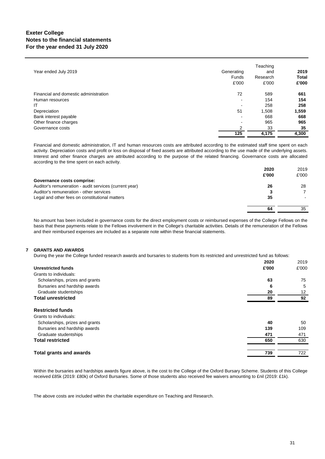|                                       |            | Teaching |              |
|---------------------------------------|------------|----------|--------------|
| Year ended July 2019                  | Generating | and      | 2019         |
|                                       | Funds      | Research | <b>Total</b> |
|                                       | £'000      | £'000    | £'000        |
| Financial and domestic administration | 72         | 589      | 661          |
| Human resources                       |            | 154      | 154          |
| IT                                    |            | 258      | 258          |
| Depreciation                          | 51         | 1,508    | 1,559        |
| Bank interest payable                 | -          | 668      | 668          |
| Other finance charges                 | -          | 965      | 965          |
| Governance costs                      | າ          | 33       | 35           |
|                                       | 125        | 4.175    | 4,300        |

Financial and domestic administration, IT and human resources costs are attributed according to the estimated staff time spent on each activity. Depreciation costs and profit or loss on disposal of fixed assets are attributed according to the use made of the underlying assets. Interest and other finance charges are attributed according to the purpose of the related financing. Governance costs are allocated according to the time spent on each activity.

|                                                        | 2020<br>£'000 | 2019<br>£'000 |
|--------------------------------------------------------|---------------|---------------|
| Governance costs comprise:                             |               |               |
| Auditor's remuneration - audit services (current year) | 26            | 28            |
| Auditor's remuneration - other services                |               |               |
| Legal and other fees on constitutional matters         | 35            |               |
|                                                        | 64            | 35            |
|                                                        |               |               |

No amount has been included in governance costs for the direct employment costs or reimbursed expenses of the College Fellows on the basis that these payments relate to the Fellows involvement in the College's charitable activities. Details of the remuneration of the Fellows and their reimbursed expenses are included as a separate note within these financial statements.

#### **7 GRANTS AND AWARDS**

During the year the College funded research awards and bursaries to students from its restricted and unrestricted fund as follows:

|                                 | 2020  | 2019  |
|---------------------------------|-------|-------|
| Unrestricted funds              | £'000 | £'000 |
| Grants to individuals:          |       |       |
| Scholarships, prizes and grants | 63    | 75    |
| Bursaries and hardship awards   | 6     | 5     |
| Graduate studentships           | 20    | 12    |
| <b>Total unrestricted</b>       | 89    | 92    |
| <b>Restricted funds</b>         |       |       |
| Grants to individuals:          |       |       |
| Scholarships, prizes and grants | 40    | 50    |
| Bursaries and hardship awards   | 139   | 109   |
| Graduate studentships           | 471   | 471   |
| <b>Total restricted</b>         | 650   | 630   |
|                                 |       |       |
| <b>Total grants and awards</b>  | 739   | 722   |

Within the bursaries and hardships awards figure above, is the cost to the College of the Oxford Bursary Scheme. Students of this College received £85k (2019: £80k) of Oxford Bursaries. Some of those students also received fee waivers amounting to £nil (2019: £1k).

The above costs are included within the charitable expenditure on Teaching and Research.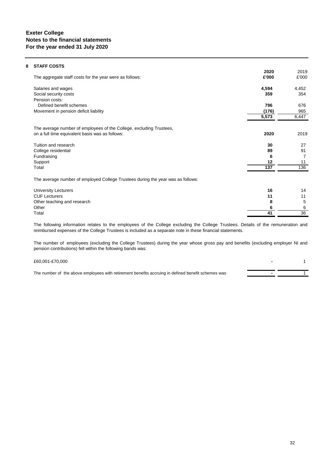#### **8 STAFF COSTS**

|                                                                                                                        | 2020  | 2019  |
|------------------------------------------------------------------------------------------------------------------------|-------|-------|
| The aggregate staff costs for the year were as follows:                                                                | £'000 | £'000 |
| Salaries and wages                                                                                                     | 4,594 | 4,452 |
| Social security costs                                                                                                  | 359   | 354   |
| Pension costs:                                                                                                         |       |       |
| Defined benefit schemes                                                                                                | 796   | 676   |
| Movement in pension deficit liability                                                                                  | (176) | 965   |
|                                                                                                                        | 5,573 | 6,447 |
| The average number of employees of the College, excluding Trustees,<br>on a full time equivalent basis was as follows: | 2020  | 2019  |
| Tuition and research                                                                                                   | 30    | 27    |
| College residential                                                                                                    | 89    | 91    |
| Fundraising                                                                                                            | 6     |       |
| Support                                                                                                                | 12    | 11    |
| Total                                                                                                                  | 137   | 136   |
| The average number of employed College Trustees during the year was as follows:                                        |       |       |

| <b>University Lecturers</b> | 16  | 14 |
|-----------------------------|-----|----|
| <b>CUF Lecturers</b>        | 11  | 11 |
| Other teaching and research |     | -5 |
| Other                       |     | 6  |
| Total                       | -41 | 36 |

The following information relates to the employees of the College excluding the College Trustees. Details of the remuneration and reimbursed expenses of the College Trustees is included as a separate note in these financial statements.

The number of employees (excluding the College Trustees) during the year whose gross pay and benefits (excluding employer NI and pension contributions) fell within the following bands was:

£60,001-£70,000 **-** 1

The number of the above employees with retirement benefits accruing in defined benefit schemes was **1 1 1 1**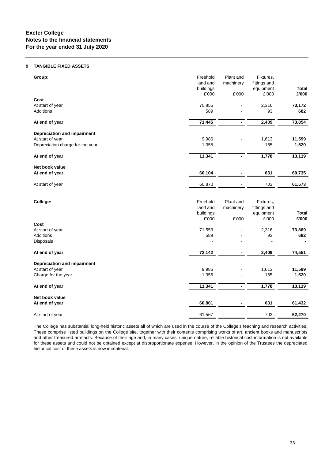#### **9 TANGIBLE FIXED ASSETS**

| Group:                                                                              | Freehold<br>land and<br>buildings<br>£'000 | Plant and<br>machinery<br>£'000 | Fixtures,<br>fittings and<br>equipment<br>£'000 | <b>Total</b><br>£'000 |
|-------------------------------------------------------------------------------------|--------------------------------------------|---------------------------------|-------------------------------------------------|-----------------------|
| Cost<br>At start of year<br>Additions                                               | 70,856<br>589                              |                                 | 2,316<br>93                                     | 73,172<br>682         |
| At end of year                                                                      | 71,445                                     | $\blacksquare$                  | 2,409                                           | 73,854                |
| Depreciation and impairment<br>At start of year<br>Depreciation charge for the year | 9,986<br>1,355                             |                                 | 1,613<br>165                                    | 11,599<br>1,520       |
| At end of year                                                                      | 11,341                                     | $\blacksquare$                  | 1,778                                           | 13,119                |
| Net book value<br>At end of year                                                    | 60,104                                     |                                 | 631                                             | 60,735                |
| At start of year                                                                    | 60,870                                     |                                 | 703                                             | 61,573                |
| College:                                                                            | Freehold<br>land and<br>buildings<br>£'000 | Plant and<br>machinery<br>£'000 | Fixtures,<br>fittings and<br>equipment<br>£'000 | <b>Total</b><br>£'000 |
| Cost<br>At start of year<br><b>Additions</b><br>Disposals                           | 71,553<br>589                              | $\overline{a}$                  | 2,316<br>93                                     | 73,869<br>682         |
| At end of year                                                                      | 72,142                                     | $\blacksquare$                  | 2,409                                           | 74,551                |
| <b>Depreciation and impairment</b><br>At start of year<br>Charge for the year       | 9,986<br>1,355                             |                                 | 1,613<br>165                                    | 11,599<br>1,520       |
| At end of year                                                                      | 11,341                                     | $\overline{\phantom{a}}$        | 1,778                                           | 13,119                |
| Net book value<br>At end of year                                                    | 60,801                                     |                                 | 631                                             | 61,432                |
| At start of year                                                                    | 61,567                                     |                                 | 703                                             | 62,270                |

The College has substantial long-held historic assets all of which are used in the course of the College's teaching and research activities. These comprise listed buildings on the College site, together with their contents comprising works of art, ancient books and manuscripts and other treasured artefacts. Because of their age and, in many cases, unique nature, reliable historical cost information is not available for these assets and could not be obtained except at disproportionate expense. However, in the opinion of the Trustees the depreciated historical cost of these assets is now immaterial.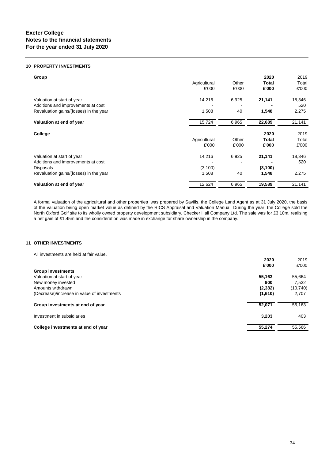#### **10 PROPERTY INVESTMENTS**

| Group                                                                                                                          | Agricultural<br>£'000      | Other<br>£'000 | 2020<br>Total<br>£'000      | 2019<br>Total<br>£'000 |
|--------------------------------------------------------------------------------------------------------------------------------|----------------------------|----------------|-----------------------------|------------------------|
| Valuation at start of year<br>Additions and improvements at cost<br>Revaluation gains/(losses) in the year                     | 14,216<br>1,508            | 6,925<br>40    | 21,141<br>1,548             | 18,346<br>520<br>2,275 |
| Valuation at end of year                                                                                                       | 15,724                     | 6,965          | 22,689                      | 21,141                 |
| College                                                                                                                        | Agricultural<br>£'000      | Other<br>£'000 | 2020<br>Total<br>£'000      | 2019<br>Total<br>£'000 |
| Valuation at start of year<br>Additions and improvements at cost<br><b>Disposals</b><br>Revaluation gains/(losses) in the year | 14,216<br>(3,100)<br>1,508 | 6,925<br>40    | 21,141<br>(3, 100)<br>1,548 | 18,346<br>520<br>2,275 |
| Valuation at end of year                                                                                                       | 12,624                     | 6,965          | 19,589                      | 21,141                 |

A formal valuation of the agricultural and other properties was prepared by Savills, the College Land Agent as at 31 July 2020, the basis of the valuation being open market value as defined by the RICS Appraisal and Valuation Manual. During the year, the College sold the North Oxford Golf site to its wholly owned property development subsidiary, Checker Hall Company Ltd. The sale was for £3.10m, realising a net gain of £1.45m and the consideration was made in exchange for share ownership in the company.

#### **11 OTHER INVESTMENTS**

All investments are held at fair value.

|                                             | 2020     | 2019      |
|---------------------------------------------|----------|-----------|
|                                             | £'000    | £'000     |
| <b>Group investments</b>                    |          |           |
| Valuation at start of year                  | 55,163   | 55,664    |
| New money invested                          | 900      | 7,532     |
| Amounts withdrawn                           | (2, 382) | (10, 740) |
| (Decrease)/increase in value of investments | (1,610)  | 2,707     |
| Group investments at end of year            | 52,071   | 55,163    |
| Investment in subsidiaries                  | 3,203    | 403       |
| College investments at end of year          | 55,274   | 55,566    |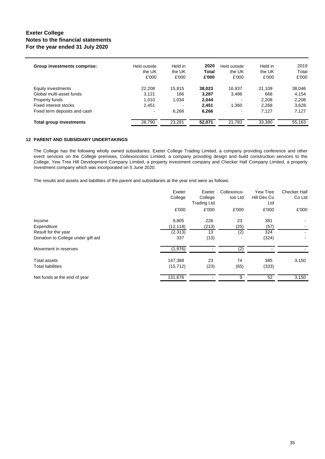# **Exeter College Notes to the financial statements For the year ended 31 July 2020**

| Group investments comprise:    | Held outside<br>the UK<br>£'000 | Held in<br>the UK<br>£'000 | 2020<br>Total<br>£'000 | Held outside<br>the UK<br>£'000 | Held in<br>the UK<br>£'000 | 2019<br>Total<br>£'000 |
|--------------------------------|---------------------------------|----------------------------|------------------------|---------------------------------|----------------------------|------------------------|
| Equity investments             | 22.208                          | 15.815                     | 38.023                 | 16.937                          | 21.109                     | 38,046                 |
| Global multi-asset funds       | 3.121                           | 166                        | 3.287                  | 3,486                           | 668                        | 4,154                  |
| Property funds                 | 1.010                           | 1.034                      | 2.044                  |                                 | 2.208                      | 2,208                  |
| Fixed interest stocks          | 2.451                           |                            | 2.451                  | 1.360                           | 2.268                      | 3.628                  |
| Fixed term deposits and cash   | $\overline{\phantom{a}}$        | 6.266                      | 6,266                  |                                 | 7.127                      | 7.127                  |
| <b>Total group investments</b> | 28,790                          | 23,281                     | 52,071                 | 21,783                          | 33,380                     | 55,163                 |
|                                |                                 |                            |                        |                                 |                            |                        |

#### **12 PARENT AND SUBSIDIARY UNDERTAKINGS**

The College has the following wholly owned subsidiaries: Exeter College Trading Limited, a company providing conference and other event services on the College premises, Collexoncotoo Limited, a company providing design and build construction services to the College, Yew Tree Hill Development Company Limited, a property investment company and Checker Hall Company Limited, a property investment company which was incorporated on 5 June 2020.

The results and assets and liabilities of the parent and subsidiaries at the year end were as follows:

|                                    | Exeter    | Exeter             | Collexonco- | Yew Tree    | <b>Checker Hall</b> |
|------------------------------------|-----------|--------------------|-------------|-------------|---------------------|
|                                    | College   | College            | too Ltd     | Hill Dev Co | Co Ltd              |
|                                    |           | <b>Trading Ltd</b> |             | Ltd         |                     |
|                                    | £'000     | £'000              | £'000       | £'000       | £'000               |
| Income                             | 9,805     | 226                | 23          | 381         |                     |
| Expenditure                        | (12, 118) | (213)              | (25)        | (57)        |                     |
| Result for the year                | (2,313)   | 13                 | (2)         | 324         | $\blacksquare$      |
| Donation to College under gift aid | 337       | (13)               |             | (324)       |                     |
| Movement in reserves               | (1,976)   |                    | (2)         |             |                     |
| <b>Total assets</b>                | 147,388   | 23                 | 74          | 385         | 3,150               |
| <b>Total liabilities</b>           | (15, 712) | (23)               | (65)        | (333)       |                     |
| Net funds at the end of year       | 131,676   |                    | 9           | 52          | 3,150               |
|                                    |           |                    |             |             |                     |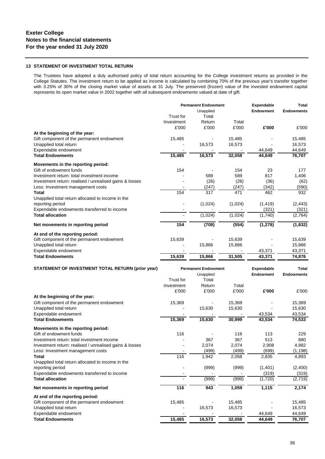#### **13 STATEMENT OF INVESTMENT TOTAL RETURN**

The Trustees have adopted a duly authorised policy of total return accounting for the College investment returns as provided in the College Statutes. The investment return to be applied as income is calculated by combining 70% of the previous year's transfer together with 3.25% of 30% of the closing market value of assets at 31 July. The preserved (frozen) value of the invested endowment capital represents its open market value in 2002 together with all subsequent endowments valued at date of gift.

|                                                                       | Trust for           | <b>Permanent Endowment</b><br>Unapplied<br>Total |                  | Expendable<br>Endowment | <b>Total</b><br><b>Endowments</b> |  |
|-----------------------------------------------------------------------|---------------------|--------------------------------------------------|------------------|-------------------------|-----------------------------------|--|
|                                                                       | Investment<br>£'000 | Return<br>£'000                                  | Total<br>£'000   | £'000                   | £'000                             |  |
| At the beginning of the year:                                         |                     |                                                  |                  |                         |                                   |  |
| Gift component of the permanent endowment                             | 15,485              |                                                  | 15,485           |                         | 15,485                            |  |
| Unapplied total return                                                |                     | 16,573                                           | 16,573           |                         | 16,573                            |  |
| Expendable endowment                                                  |                     |                                                  |                  | 44,649                  | 44,649                            |  |
| <b>Total Endowments</b>                                               | 15,485              | 16,573                                           | 32,058           | 44,649                  | 76,707                            |  |
| Movements in the reporting period:                                    |                     |                                                  |                  |                         |                                   |  |
| Gift of endowment funds                                               | 154                 |                                                  | 154              | 23                      | 177                               |  |
| Investment return: total investment income                            |                     | 589                                              | 589              | 817                     | 1,406                             |  |
| Investment return: realised / unrealised gains & losses               |                     | (26)                                             | (26)             | (36)                    | (62)                              |  |
| Less: Investment management costs                                     |                     | (247)                                            | (247)            | (342)                   | (590)                             |  |
| <b>Total</b>                                                          | 154                 | $\overline{317}$                                 | 471              | 462                     | 932                               |  |
| Unapplied total return allocated to income in the<br>reporting period |                     | (1,024)                                          | (1,024)          | (1, 419)                | (2, 443)                          |  |
| Expendable endowments transferred to income                           |                     |                                                  |                  | (321)                   | (321)                             |  |
| <b>Total allocation</b>                                               |                     | (1,024)                                          | (1,024)          | (1,740)                 | (2,764)                           |  |
|                                                                       |                     |                                                  |                  |                         |                                   |  |
| Net movements in reporting period                                     | 154                 | (708)                                            | (554)            | (1, 278)                | (1, 832)                          |  |
| At end of the reporting period:                                       |                     |                                                  |                  |                         |                                   |  |
| Gift component of the permanent endowment                             | 15,639              |                                                  | 15,639           |                         | 15,639                            |  |
| Unapplied total return                                                |                     | 15,866                                           | 15,866           |                         | 15,866                            |  |
| Expendable endowment<br><b>Total Endowments</b>                       |                     |                                                  |                  | 43,371                  | 43,371                            |  |
|                                                                       | 15,639              | 15,866                                           | 31,505           | 43,371                  | 74,876                            |  |
| STATEMENT OF INVESTMENT TOTAL RETURN (prior year)                     |                     | <b>Permanent Endowment</b>                       |                  | <b>Expendable</b>       | Total                             |  |
|                                                                       |                     | Unapplied                                        |                  | <b>Endowment</b>        | <b>Endowments</b>                 |  |
|                                                                       | Trust for           | Total                                            |                  |                         |                                   |  |
|                                                                       | Investment          | Return                                           | Total            |                         |                                   |  |
|                                                                       | £'000               | £'000                                            | £'000            | £'000                   | £'000                             |  |
| At the beginning of the year:                                         |                     |                                                  |                  |                         |                                   |  |
| Gift component of the permanent endowment<br>Unapplied total return   | 15,369              | 15,630                                           | 15,369<br>15,630 |                         | 15,369                            |  |
| Expendable endowment                                                  |                     |                                                  |                  | 43,534                  | 15,630<br>43,534                  |  |
| <b>Total Endowments</b>                                               | 15,369              | 15,630                                           | 30,999           | 43,534                  | 74,533                            |  |
|                                                                       |                     |                                                  |                  |                         |                                   |  |
| Movements in the reporting period:<br>Gift of endowment funds         | 116                 |                                                  | 116              | 113                     | 229                               |  |
| Investment return: total investment income                            |                     | 367                                              | 367              | 513                     | 880                               |  |
| Investment return: realised / unrealised gains & losses               |                     | 2,074                                            | 2,074            | 2,908                   | 4,982                             |  |
| Less: Investment management costs                                     |                     | (499)                                            | (499)            | (699)                   | (1, 198)                          |  |
| Total                                                                 | 116                 | 1,942                                            | 2.058            | 2,835                   | 4,893                             |  |
| Unapplied total return allocated to income in the                     |                     |                                                  |                  |                         |                                   |  |
| reporting period                                                      |                     | (999)                                            | (999)            | (1,401)                 | (2,400)                           |  |
| Expendable endowments transferred to income                           |                     |                                                  |                  | (319)                   | (319)                             |  |
| <b>Total allocation</b>                                               |                     | (999)                                            | (999)            | (1,720)                 | (2,719)                           |  |
| Net movements in reporting period                                     | 116                 | 943                                              | 1,059            | 1,115                   | 2,174                             |  |
| At end of the reporting period:                                       |                     |                                                  |                  |                         |                                   |  |
| Gift component of the permanent endowment                             | 15,485              |                                                  | 15,485           |                         | 15,485                            |  |
| Unapplied total return                                                |                     | 16,573                                           | 16,573           |                         | 16,573                            |  |
| Expendable endowment                                                  |                     |                                                  |                  | 44,649                  | 44,649                            |  |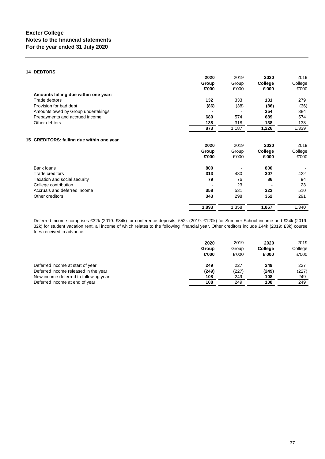#### **14 DEBTORS**

|                                           | 2020  | 2019  | 2020    | 2019    |
|-------------------------------------------|-------|-------|---------|---------|
|                                           | Group | Group | College | College |
|                                           | £'000 | £'000 | £'000   | £'000   |
| Amounts falling due within one year:      |       |       |         |         |
| Trade debtors                             | 132   | 333   | 131     | 279     |
| Provision for bad debt                    | (86)  | (38)  | (86)    | (36)    |
| Amounts owed by Group undertakings        |       |       | 354     | 384     |
| Prepayments and accrued income            | 689   | 574   | 689     | 574     |
| Other debtors                             | 138   | 318   | 138     | 138     |
|                                           | 873   | 1,187 | 1,226   | 1,339   |
| 15 CREDITORS: falling due within one year |       |       |         |         |
|                                           | 2020  | 2019  | 2020    | 2019    |
|                                           | Group | Group | College | College |
|                                           | £'000 | £'000 | £'000   | £'000   |
| <b>Bank loans</b>                         | 800   |       | 800     |         |
| Trade creditors                           | 313   | 430   | 307     | 422     |
| Taxation and social security              | 79    | 76    | 86      | 94      |
| College contribution                      |       | 23    |         | 23      |
| Accruals and deferred income              | 358   | 531   | 322     | 510     |
| Other creditors                           | 343   | 298   | 352     | 291     |
|                                           | 1,893 | 1,358 | 1,867   | 1,340   |

Deferred income comprises £32k (2019: £84k) for conference deposits, £52k (2019: £120k) for Summer School income and £24k (2019: 32k) for student vacation rent, all income of which relates to the following financial year. Other creditors include £44k (2019: £3k) course fees received in advance.

|                                       | 2020<br>Group<br>£'000 | 2019<br>Group<br>£'000 | 2020<br>College<br>£'000 | 2019<br>College<br>£'000 |
|---------------------------------------|------------------------|------------------------|--------------------------|--------------------------|
| Deferred income at start of year      | 249                    | 227                    | 249                      | 227                      |
| Deferred income released in the year  | (249)                  | (227)                  | (249)                    | (227)                    |
| New income deferred to following year | 108                    | 249                    | 108                      | 249                      |
| Deferred income at end of year        | 108                    | 249                    | 108                      | 249                      |
|                                       |                        |                        |                          |                          |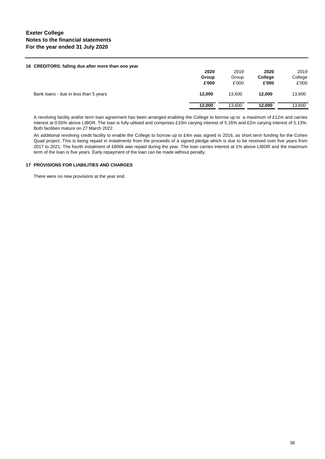#### **16 CREDITORS: falling due after more than one year**

|                                       | 2020<br>Group<br>£'000 | 2019<br>Group<br>£'000 | 2020<br>College<br>£'000 | 2019<br>College<br>£'000 |
|---------------------------------------|------------------------|------------------------|--------------------------|--------------------------|
| Bank loans - due in less than 5 years | 12,000                 | 13.600                 | 12.000                   | 13,600                   |
|                                       | 12,000                 | 13,600                 | 12,000                   | 13,600                   |

A revolving facility and/or term loan agreement has been arranged enabling the College to borrow up to a maximum of £12m and carries interest at 0.55% above LIBOR. The loan is fully utilised and comprises £10m carying interest of 5.16% and £2m carying interest of 5.13%. Both facilities mature on 27 March 2022.

An additional revolving credit facility to enable the College to borrow up to £4m was signed in 2016, as short term funding for the Cohen Quad project. This is being repaid in instalments from the proceeds of a signed pledge which is due to be received over five years from 2017 to 2021. The fourth instalment of £800k was repaid during the year. The loan carries interest at 1% above LIBOR and the maximum term of the loan is five years. Early repayment of the loan can be made without penalty.

#### **17 PROVISIONS FOR LIABILITIES AND CHARGES**

There were no new provisions at the year end.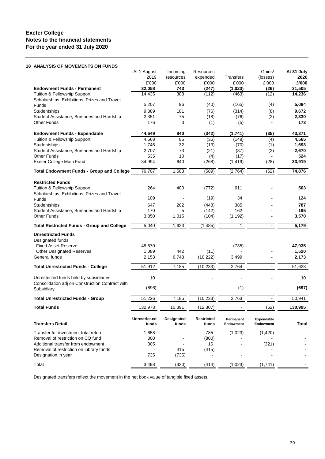# **Exeter College Notes to the financial statements For the year ended 31 July 2020**

# **18 ANALYSIS OF MOVEMENTS ON FUNDS**

|                                                                                            | At 1 August<br>2019<br>£'000 | Incoming<br>resources<br>£'000 | <b>Resources</b><br>expended<br>£'000 | Transfers<br>£'000 | Gains/<br>(losses)<br>£'000 | At 31 July<br>2020<br>£'000 |
|--------------------------------------------------------------------------------------------|------------------------------|--------------------------------|---------------------------------------|--------------------|-----------------------------|-----------------------------|
| <b>Endowment Funds - Permanent</b>                                                         | 32,058                       | 743                            | (247)                                 | (1,023)            | (26)                        | 31,505                      |
| Tuition & Fellowship Support<br>Scholarships, Exhibitions, Prizes and Travel               | 14,435                       | 388                            | (112)                                 | (463)              | (12)                        | 14,236                      |
| <b>Funds</b>                                                                               | 5,207                        | 96                             | (40)                                  | (165)              | (4)                         | 5,094                       |
| Studentships                                                                               | 9,889                        | 181                            | (76)                                  | (314)              | (8)                         | 9,672                       |
| Student Assistance, Bursaries and Hardship                                                 | 2,351                        | 75                             | (18)                                  | (76)               | (2)                         | 2,330                       |
| <b>Other Funds</b>                                                                         | 176                          | 3                              | (1)                                   | (5)                |                             | 173                         |
| <b>Endowment Funds - Expendable</b>                                                        | 44,649                       | 840                            | (342)                                 | (1,741)            | (35)                        | 43,371                      |
| Tuition & Fellowship Support                                                               | 4,668                        | 85                             | (36)                                  | (148)              | (4)                         | 4,565                       |
| Studentships                                                                               | 1,745                        | 32                             | (13)                                  | (70)               | (1)                         | 1,693                       |
| Student Assistance, Bursaries and Hardship                                                 | 2,707                        | 73                             | (21)                                  | (87)               | (2)                         | 2,670                       |
| <b>Other Funds</b>                                                                         | 535                          | 10                             | (4)                                   | (17)               |                             | 524                         |
| Exeter College Main Fund                                                                   | 34,994                       | 640                            | (268)                                 | (1, 419)           | (28)                        | 33,919                      |
| <b>Total Endowment Funds - Group and College</b>                                           | 76,707                       | 1,583                          | (589)                                 | (2,764)            | (62)                        | 74,876                      |
| <b>Restricted Funds</b>                                                                    |                              |                                |                                       |                    |                             |                             |
| Tuition & Fellowship Support<br>Scholarships, Exhibitions, Prizes and Travel               | 264                          | 400                            | (772)                                 | 611                |                             | 503                         |
| Funds                                                                                      | 109                          |                                | (19)                                  | 34                 |                             | 124                         |
| Studentships                                                                               | 647                          | 202                            | (448)                                 | 385                |                             | 787                         |
| Student Assistance, Bursaries and Hardship                                                 | 170                          | 5                              | (142)                                 | 162                |                             | 195                         |
| Other Funds                                                                                | 3,850                        | 1,015                          | (104)                                 | (1, 192)           |                             | 3,570                       |
| <b>Total Restricted Funds - Group and College</b>                                          | 5.040                        | 1,623                          | (1, 485)                              | 1                  |                             | 5,179                       |
| <b>Unrestricted Funds</b>                                                                  |                              |                                |                                       |                    |                             |                             |
| Designated funds                                                                           |                              |                                |                                       |                    |                             |                             |
| <b>Fixed Asset Reserve</b>                                                                 | 48,670                       |                                |                                       | (735)              |                             | 47,935                      |
| <b>Other Designated Reserves</b>                                                           | 1,089                        | 442                            | (11)                                  |                    |                             | 1,520                       |
| General funds                                                                              | 2,153                        | 6,743                          | (10, 222)                             | 3,499              |                             | 2,173                       |
| <b>Total Unrestricted Funds - College</b>                                                  | 51,912                       | 7,185                          | (10, 233)                             | 2,764              |                             | 51,628                      |
| Unrestricted funds held by subsidiaries<br>Consolidation adj on Construction Contract with | 10                           |                                |                                       |                    |                             | 10                          |
| Subsidiary                                                                                 | (696)                        |                                |                                       | (1)                |                             | (697)                       |
| <b>Total Unrestricted Funds - Group</b>                                                    | 51,226                       | 7,185                          | (10, 233)                             | 2,763              |                             | 50,941                      |
| <b>Total Funds</b>                                                                         | 132,973                      | 10,391                         | (12, 307)                             |                    | (62)                        | 130,995                     |
|                                                                                            | Unrestrict-ed                | Designated                     | <b>Restricted</b>                     | Permanent          | Expendable                  |                             |
| <b>Transfers Detail</b>                                                                    | funds                        | funds                          | funds                                 | Endowment          | Endowment                   | Total                       |
| Transfer for investment total return                                                       | 1,658                        |                                | 785                                   | (1,023)            | (1,420)                     |                             |
| Removal of restriction on CQ fund                                                          | 800                          |                                | (800)                                 |                    |                             |                             |
| Additional transfer from endowment                                                         | 305                          | $\ddot{\phantom{a}}$           | 16                                    |                    | (321)                       |                             |
| Removal of restriction on Library funds                                                    |                              | 415                            | (415)                                 |                    |                             |                             |
| Designation in year                                                                        | 735                          | (735)                          |                                       |                    |                             |                             |
| Total                                                                                      | 3,498                        | (320)                          | (414)                                 | (1,023)            | (1,741)                     |                             |

Designated transfers reflect the movement in the net book value of tangible fixed assets.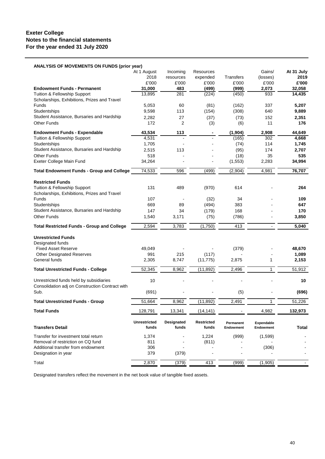| <b>ANALYSIS OF MOVEMENTS ON FUNDS (prior year)</b>                                         |                                        |                                       |                                         |                             |                                      |                                       |
|--------------------------------------------------------------------------------------------|----------------------------------------|---------------------------------------|-----------------------------------------|-----------------------------|--------------------------------------|---------------------------------------|
| <b>Endowment Funds - Permanent</b>                                                         | At 1 August<br>2018<br>£'000<br>31,000 | Incoming<br>resources<br>£'000<br>483 | Resources<br>expended<br>£'000<br>(499) | Transfers<br>£'000<br>(999) | Gains/<br>(losses)<br>£'000<br>2,073 | At 31 July<br>2019<br>£'000<br>32,058 |
| Tuition & Fellowship Support                                                               | 13,895                                 | 281                                   | (224)                                   | (450)                       | 933                                  | 14,435                                |
| Scholarships, Exhibitions, Prizes and Travel                                               |                                        |                                       |                                         |                             |                                      |                                       |
| Funds                                                                                      | 5,053                                  | 60                                    | (81)                                    | (162)                       | 337                                  | 5,207                                 |
| Studentships                                                                               | 9,598                                  | 113                                   | (154)                                   | (308)                       | 640                                  | 9,889                                 |
| Student Assistance, Bursaries and Hardship<br><b>Other Funds</b>                           | 2,282                                  | 27                                    | (37)                                    | (73)                        | 152                                  | 2,351                                 |
|                                                                                            | 172                                    | 2                                     | (3)                                     | (6)                         | 11                                   | 176                                   |
| <b>Endowment Funds - Expendable</b>                                                        | 43,534                                 | 113                                   |                                         | (1,904)                     | 2,908                                | 44,649                                |
| Tuition & Fellowship Support                                                               | 4,531                                  |                                       |                                         | (165)                       | 302                                  | 4,668                                 |
| Studentships<br>Student Assistance, Bursaries and Hardship                                 | 1,705                                  |                                       |                                         | (74)                        | 114                                  | 1,745                                 |
| <b>Other Funds</b>                                                                         | 2,515<br>518                           | 113                                   |                                         | (95)<br>(18)                | 174<br>35                            | 2,707<br>535                          |
| Exeter College Main Fund                                                                   | 34,264                                 |                                       |                                         | (1, 553)                    | 2,283                                | 34,994                                |
|                                                                                            |                                        |                                       |                                         |                             |                                      |                                       |
| <b>Total Endowment Funds - Group and College</b>                                           | 74,533                                 | 596                                   | (499)                                   | (2, 904)                    | 4,981                                | 76,707                                |
| <b>Restricted Funds</b>                                                                    |                                        |                                       |                                         |                             |                                      |                                       |
| Tuition & Fellowship Support<br>Scholarships, Exhibitions, Prizes and Travel               | 131                                    | 489                                   | (970)                                   | 614                         |                                      | 264                                   |
| Funds                                                                                      | 107                                    |                                       | (32)                                    | 34                          |                                      | 109                                   |
| Studentships                                                                               | 669                                    | 89                                    | (494)                                   | 383                         |                                      | 647                                   |
| Student Assistance, Bursaries and Hardship                                                 | 147                                    | 34                                    | (179)                                   | 168                         |                                      | 170                                   |
| Other Funds                                                                                | 1,540                                  | 3,171                                 | (75)                                    | (786)                       |                                      | 3,850                                 |
| <b>Total Restricted Funds - Group and College</b>                                          | 2,594                                  | 3,783                                 | (1,750)                                 | 413                         |                                      | 5,040                                 |
| <b>Unrestricted Funds</b><br>Designated funds                                              |                                        |                                       |                                         |                             |                                      |                                       |
| <b>Fixed Asset Reserve</b>                                                                 | 49,049                                 |                                       |                                         | (379)                       |                                      | 48,670                                |
| <b>Other Designated Reserves</b>                                                           | 991                                    | 215                                   | (117)                                   |                             |                                      | 1,089                                 |
| General funds                                                                              | 2,305                                  | 8,747                                 | (11, 775)                               | 2,875                       | 1                                    | 2,153                                 |
| <b>Total Unrestricted Funds - College</b>                                                  | 52,345                                 | 8,962                                 | (11, 892)                               | 2,496                       | 1                                    | 51,912                                |
| Unrestricted funds held by subsidiaries<br>Consolidation adj on Construction Contract with | 10                                     |                                       |                                         |                             |                                      | 10                                    |
| Sub.                                                                                       | (691)                                  |                                       |                                         | (5)                         |                                      | (696)                                 |
| <b>Total Unrestricted Funds - Group</b>                                                    | 51,664                                 | 8,962                                 | (11, 892)                               | 2,491                       | $\mathbf{1}$                         | 51,226                                |
| <b>Total Funds</b>                                                                         | 128,791                                | 13,341                                | (14, 141)                               |                             | 4,982                                | 132,973                               |
| <b>Transfers Detail</b>                                                                    | <b>Unrestricted</b><br>funds           | Designated<br>funds                   | Restricted<br>funds                     | Permanent<br>Endowment      | Expendable<br>Endowment              | Total                                 |
| Transfer for investment total return                                                       | 1,374                                  |                                       | 1,224                                   | (999)                       | (1,599)                              |                                       |
| Removal of restriction on CQ fund                                                          | 811                                    |                                       | (811)                                   |                             |                                      |                                       |
| Additional transfer from endowment                                                         | 306                                    |                                       |                                         |                             | (306)                                |                                       |
| Designation in year                                                                        | 379                                    | (379)                                 |                                         |                             |                                      |                                       |
| Total                                                                                      | 2,870                                  | (379)                                 | 413                                     | (999)                       | (1,905)                              | $\blacksquare$                        |

Designated transfers reflect the movement in the net book value of tangible fixed assets.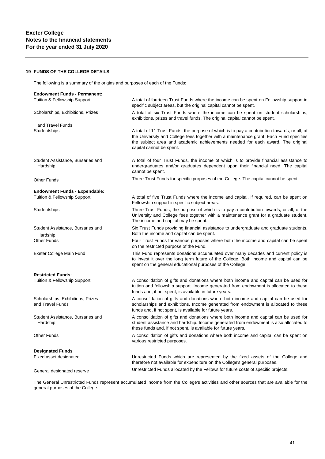### **19 FUNDS OF THE COLLEGE DETAILS**

The following is a summary of the origins and purposes of each of the Funds:

| <b>Endowment Funds - Permanent:</b><br>Tuition & Fellowship Support  | A total of fourteen Trust Funds where the income can be spent on Fellowship support in                                                                                                                                                                                                               |
|----------------------------------------------------------------------|------------------------------------------------------------------------------------------------------------------------------------------------------------------------------------------------------------------------------------------------------------------------------------------------------|
|                                                                      | specific subject areas, but the original capital cannot be spent.                                                                                                                                                                                                                                    |
| Scholarships, Exhibitions, Prizes                                    | A total of six Trust Funds where the income can be spent on student scholarships,<br>exhibitions, prizes and travel funds. The original capital cannot be spent.                                                                                                                                     |
| and Travel Funds<br>Studentships                                     | A total of 11 Trust Funds, the purpose of which is to pay a contribution towards, or all, of<br>the University and College fees together with a maintenance grant. Each Fund specifies<br>the subject area and academic achievements needed for each award. The original<br>capital cannot be spent. |
| Student Assistance, Bursaries and<br>Hardship                        | A total of four Trust Funds, the income of which is to provide financial assistance to<br>undergraduates and/or graduates dependent upon their financial need. The capital<br>cannot be spent.                                                                                                       |
| <b>Other Funds</b>                                                   | Three Trust Funds for specific purposes of the College. The capital cannot be spent.                                                                                                                                                                                                                 |
| <b>Endowment Funds - Expendable:</b><br>Tuition & Fellowship Support | A total of five Trust Funds where the income and capital, if required, can be spent on<br>Fellowship support in specific subject areas.                                                                                                                                                              |
| Studentships                                                         | Three Trust Funds, the purpose of which is to pay a contribution towards, or all, of the<br>University and College fees together with a maintenance grant for a graduate student.<br>The income and capital may be spent.                                                                            |
| Student Assistance, Bursaries and<br>Hardship                        | Six Trust Funds providing financial assistance to undergraduate and graduate students.<br>Both the income and capital can be spent.                                                                                                                                                                  |
| <b>Other Funds</b>                                                   | Four Trust Funds for various purposes where both the income and capital can be spent<br>on the restricted purpose of the Fund.                                                                                                                                                                       |
| Exeter College Main Fund                                             | This Fund represents donations accumulated over many decades and current policy is<br>to invest it over the long term future of the College. Both income and capital can be<br>spent on the general educational purposes of the College.                                                             |
| <b>Restricted Funds:</b>                                             |                                                                                                                                                                                                                                                                                                      |
| Tuition & Fellowship Support                                         | A consolidation of gifts and donations where both income and capital can be used for<br>tuition and fellowship support. Income generated from endowment is allocated to these<br>funds and, if not spent, is available in future years.                                                              |
| Scholarships, Exhibitions, Prizes<br>and Travel Funds                | A consolidation of gifts and donations where both income and capital can be used for<br>scholarships and exhibitions. Income generated from endowment is allocated to these<br>funds and, if not spent, is available for future years.                                                               |
| Student Assistance, Bursaries and<br>Hardship                        | A consolidation of gifts and donations where both income and capital can be used for<br>student assistance and hardship. Income generated from endowment is also allocated to<br>these funds and, if not spent, is available for future years.                                                       |
| <b>Other Funds</b>                                                   | A consolidation of gifts and donations where both income and capital can be spent on<br>various restricted purposes.                                                                                                                                                                                 |
| <b>Designated Funds</b>                                              |                                                                                                                                                                                                                                                                                                      |
| Fixed asset designated                                               | Unrestricted Funds which are represented by the fixed assets of the College and<br>therefore not available for expenditure on the College's general purposes.                                                                                                                                        |
| General designated reserve                                           | Unrestricted Funds allocated by the Fellows for future costs of specific projects.                                                                                                                                                                                                                   |

The General Unrestricted Funds represent accumulated income from the College's activities and other sources that are available for the general purposes of the College.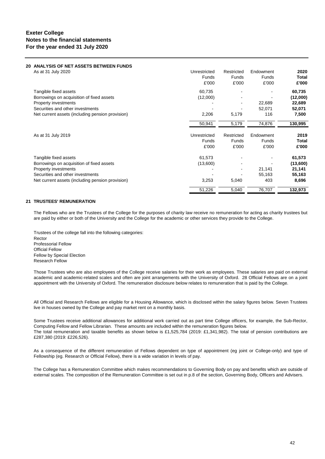| 20 | ANALYSIS OF NET ASSETS BETWEEN FUNDS             |              |              |           |              |
|----|--------------------------------------------------|--------------|--------------|-----------|--------------|
|    | As at 31 July 2020                               | Unrestricted | Restricted   | Endowment | 2020         |
|    |                                                  | Funds        | Funds        | Funds     | <b>Total</b> |
|    |                                                  | £'000        | £'000        | £'000     | £'000        |
|    | Tangible fixed assets                            | 60,735       |              |           | 60,735       |
|    | Borrowings on acquisition of fixed assets        | (12,000)     |              |           | (12,000)     |
|    | Property investments                             |              |              | 22,689    | 22,689       |
|    | Securities and other investments                 |              |              | 52,071    | 52,071       |
|    | Net current assets (including pension provision) | 2,206        | 5,179        | 116       | 7,500        |
|    |                                                  | 50,941       | 5,179        | 74,876    | 130,995      |
|    | As at 31 July 2019                               | Unrestricted | Restricted   | Endowment | 2019         |
|    |                                                  | Funds        | <b>Funds</b> | Funds     | Total        |
|    |                                                  | £'000        | £'000        | £'000     | £'000        |
|    | Tangible fixed assets                            | 61,573       |              |           | 61,573       |
|    | Borrowings on acquisition of fixed assets        | (13,600)     |              |           | (13,600)     |
|    | Property investments                             |              |              | 21,141    | 21,141       |
|    | Securities and other investments                 |              |              | 55,163    | 55,163       |
|    | Net current assets (including pension provision) | 3,253        | 5,040        | 403       | 8,696        |
|    |                                                  | 51,226       | 5,040        | 76,707    | 132,973      |

#### **21 TRUSTEES' REMUNERATION**

The Fellows who are the Trustees of the College for the purposes of charity law receive no remuneration for acting as charity trustees but are paid by either or both of the University and the College for the academic or other services they provide to the College.

Trustees of the college fall into the following categories: Rector Professorial Fellow Official Fellow Fellow by Special Election Research Fellow

Those Trustees who are also employees of the College receive salaries for their work as employees. These salaries are paid on external academic and academic-related scales and often are joint arrangements with the University of Oxford. 28 Official Fellows are on a joint appointment with the University of Oxford. The remuneration disclosure below relates to remuneration that is paid by the College.

All Official and Research Fellows are eligible for a Housing Allowance, which is disclosed within the salary figures below. Seven Trustees live in houses owned by the College and pay market rent on a monthly basis.

Some Trustees receive additional allowances for additional work carried out as part time College officers, for example, the Sub-Rector, Computing Fellow and Fellow Librarian. These amounts are included within the remuneration figures below. The total remuneration and taxable benefits as shown below is £1,525,784 (2019: £1,341,982). The total of pension contributions are £287,380 (2019: £226,526).

As a consequence of the different remuneration of Fellows dependent on type of appointment (eg joint or College-only) and type of Fellowship (eg. Research or Official Fellow), there is a wide variation in levels of pay.

The College has a Remuneration Committee which makes recommendations to Governing Body on pay and benefits which are outside of external scales. The composition of the Remuneration Committee is set out in p.8 of the section, Governing Body, Officers and Advisers.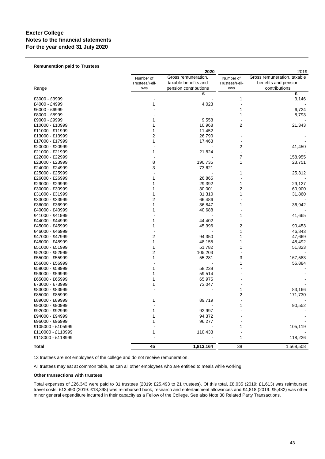# **Exeter College Notes to the financial statements For the year ended 31 July 2020**

| <b>Remuneration paid to Trustees</b> |                |                       |                  |                             |
|--------------------------------------|----------------|-----------------------|------------------|-----------------------------|
|                                      |                | 2020                  |                  | 2019                        |
|                                      | Number of      | Gross remuneration,   | Number of        | Gross remuneration, taxable |
|                                      | Trustees/Fell- | taxable benefits and  | Trustees/Fell-   | benefits and pension        |
| Range                                | ows            | pension contributions | ows              | contributions               |
|                                      |                | £                     |                  | £                           |
| £3000 - £3999                        |                |                       | 1                | 3,146                       |
| £4000 - £4999                        | 1              | 4,023                 | L,               |                             |
| £6000 £6999                          |                |                       | 1                | 6,724                       |
| £8000 - £8999                        |                |                       | 1                | 8,793                       |
| £9000 - £9999                        |                | 9,558                 |                  |                             |
| £10000 - £10999                      | 1              | 10,968                | $\overline{2}$   | 21,343                      |
| £11000 - £11999                      | 1              | 11,452                |                  |                             |
| £13000 - £13999                      | $\overline{2}$ | 26,790                |                  |                             |
| £17000 - £17999                      | 1              | 17,463                |                  |                             |
| £20000 - £20999                      |                |                       | $\boldsymbol{2}$ | 41,450                      |
| £21000 - £21999                      | 1              | 21,824                | $\overline{a}$   |                             |
| £22000 - £22999                      |                |                       | 7                | 158,955                     |
| £23000 - £23999                      | 8              | 190,735               | 1                | 23,751                      |
| £24000 - £24999                      | 3              | 73,621                |                  |                             |
| £25000 - £25999                      |                |                       | 1                | 25,312                      |
| £26000 - £26999                      | 1              | 26,865                |                  |                             |
| £29000 - £29999                      | 1              | 29,392                | 1                | 29,127                      |
| £30000 - £30999                      | 1              | 30,001                | $\overline{2}$   | 60,900                      |
| £31000 - £31999                      | 1              | 31,310                | $\mathbf{1}$     | 31,860                      |
|                                      | $\overline{2}$ |                       |                  |                             |
| £33000 - £33999                      |                | 66,486                |                  |                             |
| £36000 - £36999                      | 1              | 36,847                | 1                | 36,942                      |
| £40000 - £40999                      | 1              | 40,688                |                  |                             |
| £41000 - £41999                      |                |                       | 1                | 41,665                      |
| £44000 - £44999                      |                | 44,402                |                  |                             |
| £45000 - £45999                      | 1              | 45,396                | $\overline{c}$   | 90,453                      |
| £46000 - £46999                      |                |                       | 1                | 46,843                      |
| £47000 - £47999                      | 2              | 94,350                | 1                | 47,669                      |
| £48000 - £48999                      | 1              | 48,155                | 1                | 48,492                      |
| £51000 - £51999                      | 1              | 51,782                | 1                | 51,823                      |
| £52000 - £52999                      | $\overline{2}$ | 105,203               |                  |                             |
| £55000 - £55999                      | 1              | 55,281                | 3                | 167,583                     |
| £56000 - £56999                      |                |                       | 1                | 56,884                      |
| £58000 - £58999                      |                | 58,238                |                  |                             |
| £59000 - £59999                      |                | 59,514                |                  |                             |
| £65000 - £65999                      |                | 65,975                |                  |                             |
| £73000 - £73999                      |                | 73,047                |                  |                             |
| £83000 - £83999                      |                |                       | 1                | 83,166                      |
| £85000 - £85999                      |                |                       | $\overline{c}$   | 171,730                     |
| £89000 - £89999                      | 1              | 89,719                |                  |                             |
| £90000 - £90999                      |                |                       |                  | 90,552                      |
| £92000 - £92999                      | 1              | 92,997                |                  |                             |
| £94000 - £94999                      | 1              | 94,372                |                  |                             |
| £96000 - £96999                      |                | 96,277                |                  |                             |
| £105000 - £105999                    |                |                       |                  | 105,119                     |
|                                      |                |                       |                  |                             |
| £110000 - £110999                    |                | 110,433               |                  |                             |
| £118000 - £118999                    |                |                       | 1                | 118,226                     |
| <b>Total</b>                         | 45             | 1,813,164             | $\overline{38}$  | 1,568,508                   |

13 trustees are not employees of the college and do not receive remuneration.

All trustees may eat at common table, as can all other employees who are entitled to meals while working.

#### **Other transactions with trustees**

Total expenses of £26,343 were paid to 31 trustees (2019: £25,493 to 21 trustees). Of this total, £8,035 (2019: £1,613) was reimbursed travel costs, £13,490 (2019: £18,398) was reimbursed book, research and entertainment allowances and £4,818 (2019: £5,482) was other minor general expenditure incurred in their capacity as a Fellow of the College. See also Note 30 Related Party Transactions.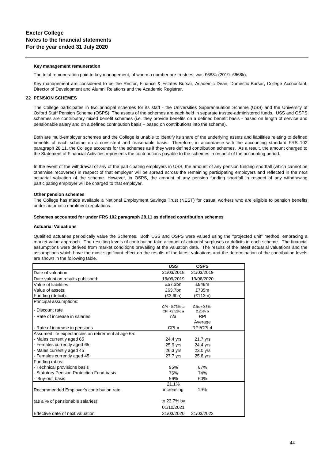#### **Key management remuneration**

The total remuneration paid to key management, of whom a number are trustees, was £683k (2019: £668k).

Key management are considered to be the Rector, Finance & Estates Bursar, Academic Dean, Domestic Bursar, College Accountant, Director of Development and Alumni Relations and the Academic Registrar.

#### **22 PENSION SCHEMES**

The College participates in two principal schemes for its staff - the Universities Superannuation Scheme (USS) and the University of Oxford Staff Pension Scheme (OSPS). The assets of the schemes are each held in separate trustee-administered funds. USS and OSPS schemes are contributory mixed benefit schemes (i.e. they provide benefits on a defined benefit basis - based on length of service and pensionable salary and on a defined contribution basis – based on contributions into the scheme).

Both are multi-employer schemes and the College is unable to identify its share of the underlying assets and liabilities relating to defined benefits of each scheme on a consistent and reasonable basis. Therefore, in accordance with the accounting standard FRS 102 paragraph 28.11, the College accounts for the schemes as if they were defined contribution schemes. As a result, the amount charged to the Statement of Financial Activities represents the contributions payable to the schemes in respect of the accounting period.

In the event of the withdrawal of any of the participating employers in USS, the amount of any pension funding shortfall (which cannot be otherwise recovered) in respect of that employer will be spread across the remaining participating employers and reflected in the next actuarial valuation of the scheme. However, in OSPS, the amount of any pension funding shortfall in respect of any withdrawing participating employer will be charged to that employer.

#### **Other pension schemes**

The College has made available a National Employment Savings Trust (NEST) for casual workers who are eligible to pension benefits under automatic enrolment regulations.

#### **Schemes accounted for under FRS 102 paragraph 28.11 as defined contribution schemes**

#### **Actuarial Valuations**

Qualified actuaries periodically value the Schemes. Both USS and OSPS were valued using the "projected unit" method, embracing a market value approach. The resulting levels of contribution take account of actuarial surpluses or deficits in each scheme. The financial assumptions were derived from market conditions prevailing at the valuation date. The results of the latest actuarial valuations and the assumptions which have the most significant effect on the results of the latest valuations and the determination of the contribution levels are shown in the following table.

|                                                    | <b>USS</b>     | <b>OSPS</b>     |  |
|----------------------------------------------------|----------------|-----------------|--|
| Date of valuation:                                 | 31/03/2018     | 31/03/2019      |  |
| Date valuation results published:                  | 16/09/2019     | 19/06/2020      |  |
| Value of liabilities:                              | £67.3bn        | £848m           |  |
| Value of assets:                                   | £63.7bn        | £735m           |  |
| Funding (deficit):                                 | (E3.6bn)       | (E113m)         |  |
| Principal assumptions:                             |                |                 |  |
|                                                    | CPI - 0.73% to | Gilts $+0.5%$ - |  |
| - Discount rate                                    | CPI +2.52% a   | $2.25%$ b       |  |
| - Rate of increase in salaries                     | n/a            | <b>RPI</b>      |  |
|                                                    |                | Average         |  |
| - Rate of increase in pensions                     | CPI c          | RPI/CPI d       |  |
| Assumed life expectancies on retirement at age 65: |                |                 |  |
| - Males currently aged 65                          | 24.4 yrs       | 21.7 yrs        |  |
| - Females currently aged 65                        | 25.9 yrs       | 24.4 yrs        |  |
| - Males currently aged 45                          | 26.3 yrs       | 23.0 yrs        |  |
| - Females currently aged 45                        | 27.7 yrs       | 25.8 yrs        |  |
| Funding ratios:                                    |                |                 |  |
| - Technical provisions basis                       | 95%            | 87%             |  |
| - Statutory Pension Protection Fund basis          | 76%            | 74%             |  |
| 'Buy-out' basis                                    | 56%            | 60%             |  |
|                                                    | 21.1%          |                 |  |
| Recommended Employer's contribution rate           | increasing     | 19%             |  |
|                                                    |                |                 |  |
| (as a % of pensionable salaries):                  | to 23.7% by    |                 |  |
|                                                    | 01/10/2021     |                 |  |
| Effective date of next valuation                   | 31/03/2020     | 31/03/2022      |  |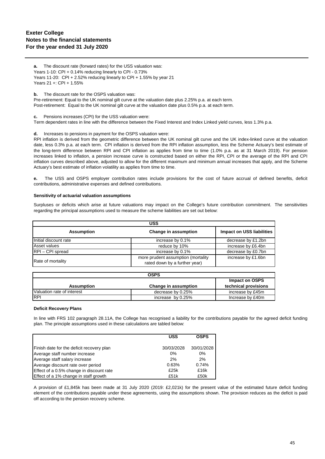# **Exeter College Notes to the financial statements For the year ended 31 July 2020**

**a.** The discount rate (forward rates) for the USS valuation was: Years 1-10: CPI + 0.14% reducing linearly to CPI - 0.73% Years 11-20: CPI + 2.52% reducing linearly to CPI + 1.55% by year 21 Years 21 +: CPI + 1.55%

**b.** The discount rate for the OSPS valuation was: Pre-retirement: Equal to the UK nominal gilt curve at the valuation date plus 2.25% p.a. at each term. Post-retirement: Equal to the UK nominal gilt curve at the valuation date plus 0.5% p.a. at each term.

**c.** Pensions increases (CPI) for the USS valuation were: Term dependent rates in line with the difference between the Fixed Interest and Index Linked yield curves, less 1.3% p.a.

**d.** Increases to pensions in payment for the OSPS valuation were:

RPI inflation is derived from the geometric difference between the UK nominal gilt curve and the UK index-linked curve at the valuation date, less 0.3% p.a. at each term. CPI inflation is derived from the RPI inflation assumption, less the Scheme Actuary's best estimate of the long-term difference between RPI and CPI inflation as applies from time to time (1.0% p.a. as at 31 March 2019). For pension increases linked to inflation, a pension increase curve is constructed based on either the RPI, CPI or the average of the RPI and CPI inflation curves described above, adjusted to allow for the different maximum and minimum annual increases that apply, and the Scheme Actuary's best estimate of inflation volatility as applies from time to time.

**e.** The USS and OSPS employer contribution rates include provisions for the cost of future accrual of defined benefits, deficit contributions, administrative expenses and defined contributions.

#### **Sensitivity of actuarial valuation assumptions**

Surpluses or deficits which arise at future valuations may impact on the College's future contribution commitment. The sensitivities regarding the principal assumptions used to measure the scheme liabilities are set out below:

| USS                   |                                                                     |                                  |  |
|-----------------------|---------------------------------------------------------------------|----------------------------------|--|
| <b>Assumption</b>     | Change in assumption                                                | <b>Impact on USS liabilities</b> |  |
| Initial discount rate | increase by 0.1%                                                    | decrease by £1.2bn               |  |
| Asset values          | reduce by 10%                                                       | increase by £6.4bn               |  |
| RPI-CPI spread        | increase by 0.1%                                                    | decrease by £0.7bn               |  |
| Rate of mortality     | more prudent assumption (mortality<br>rated down by a further year) | increase by £1.6bn               |  |

| <b>OSPS</b>                |                      |                      |  |  |
|----------------------------|----------------------|----------------------|--|--|
|                            |                      | Impact on OSPS       |  |  |
| <b>Assumption</b>          | Change in assumption | technical provisions |  |  |
| Valuation rate of interest | decrease by 0.25%    | increase by £45m     |  |  |
| <b>IRP</b>                 | increase by 0.25%    | Increase by £40m     |  |  |

#### **Deficit Recovery Plans**

In line with FRS 102 paragraph 28.11A, the College has recognised a liability for the contributions payable for the agreed deficit funding plan. The principle assumptions used in these calculations are tabled below:

|                                           | <b>USS</b> | <b>OSPS</b> |
|-------------------------------------------|------------|-------------|
| Finish date for the deficit recovery plan | 30/03/2028 | 30/01/2028  |
| Average staff number increase             | $0\%$      | $0\%$       |
| Average staff salary increase             | 2%         | 2%          |
| Average discount rate over period         | 0.63%      | 0.74%       |
| Effect of a 0.5% change in discount rate  | £25k       | £16k        |
| Effect of a 1% change in staff growth     | £51 $k$    | £50k        |

A provision of £1,845k has been made at 31 July 2020 (2019: £2,021k) for the present value of the estimated future deficit funding element of the contributions payable under these agreements, using the assumptions shown. The provision reduces as the deficit is paid off according to the pension recovery scheme.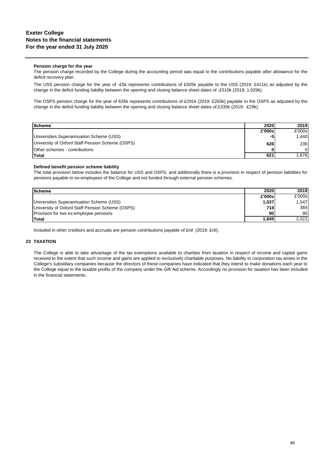#### **Pension charge for the year**

The pension charge recorded by the College during the accounting period was equal to the contributions payable after allowance for the deficit recovery plan.

The USS pension charge for the year of -£5k represents contributions of £505k payable to the USS (2019: £411k) as adjusted by the change in the deficit funding liability between the opening and closing balance sheet dates of -£510k (2019: 1,029k).

The OSPS pension charge for the year of 626k represents contributions of £291k (2019: £265k) payable to the OSPS as adjusted by the change in the deficit funding liability between the opening and closing balance sheet dates of £335k (2019: -£29k).

| <b>Scheme</b>                                    | 2020   | 2019     |
|--------------------------------------------------|--------|----------|
|                                                  | £'000s | £'000s   |
| Universities Superannuation Scheme (USS)         | -51    | 1.440    |
| University of Oxford Staff Pension Scheme (OSPS) | 626    | 236      |
| Other schemes - contributions                    |        | $\Omega$ |
| <b>Total</b>                                     | 621    | .676     |

#### **Defined benefit pension scheme liability**

The total provision below includes the balance for USS and OSPS, and additionally there is a provision in respect of pension liabilities for pensions payable to ex-employees of the College and not funded through external pension schemes.

| <b>Scheme</b>                                    | 2020   | <b>2019</b>     |
|--------------------------------------------------|--------|-----------------|
|                                                  | £'000s | £'000s          |
| Universities Superannuation Scheme (USS)         | 1.037  | 1.547           |
| University of Oxford Staff Pension Scheme (OSPS) | 718I   | 384             |
| Provision for two ex-employee pensions           | 90     | 90 <sup>1</sup> |
| <b>Total</b>                                     | 1.8451 | 2,021           |

Included in other creditors and accruals are pension contributions payable of £nil (2019: £nil).

#### **23 TAXATION**

The College is able to take advantage of the tax exemptions available to charities from taxation in respect of income and capital gains received to the extent that such income and gains are applied to exclusively charitable purposes. No liability to corporation tax arises in the College's subsidiary companies because the directors of these companies have indicated that they intend to make donations each year to the College equal to the taxable profits of the company under the Gift Aid scheme. Accordingly no provision for taxation has been included in the financial statements.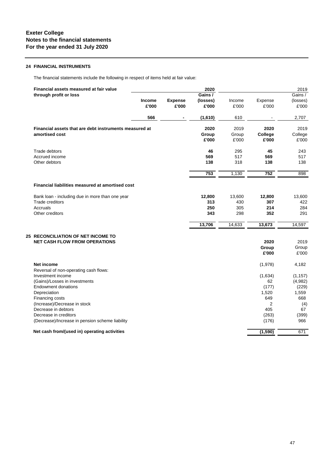#### **24 FINANCIAL INSTRUMENTS**

The financial statements include the following in respect of items held at fair value:

| Financial assets measured at fair value                |        |                | 2020     |        |                | 2019     |
|--------------------------------------------------------|--------|----------------|----------|--------|----------------|----------|
| through profit or loss                                 |        |                | Gains/   |        |                | Gains /  |
|                                                        | Income | <b>Expense</b> | (losses) | Income | Expense        | (losses) |
|                                                        | £'000  | £'000          | £'000    | £'000  | £'000          | £'000    |
|                                                        | 566    |                | (1,610)  | 610    |                | 2,707    |
| Financial assets that are debt instruments measured at |        |                | 2020     | 2019   | 2020           | 2019     |
| amortised cost                                         |        |                | Group    | Group  | College        | College  |
|                                                        |        |                | £'000    | £'000  | £'000          | £'000    |
| Trade debtors                                          |        |                | 46       | 295    | 45             | 243      |
| Accrued income                                         |        |                | 569      | 517    | 569            | 517      |
| Other debtors                                          |        |                | 138      | 318    | 138            | 138      |
|                                                        |        |                | 753      | 1,130  | 752            | 898      |
| Financial liabilities measured at amortised cost       |        |                |          |        |                |          |
| Bank loan - including due in more than one year        |        |                | 12,800   | 13,600 | 12,800         | 13,600   |
| <b>Trade creditors</b>                                 |        |                | 313      | 430    | 307            | 422      |
| Accruals                                               |        |                | 250      | 305    | 214            | 284      |
| Other creditors                                        |        |                | 343      | 298    | 352            | 291      |
|                                                        |        |                | 13,706   | 14,633 | 13,673         | 14,597   |
| <b>25 RECONCILIATION OF NET INCOME TO</b>              |        |                |          |        |                |          |
| <b>NET CASH FLOW FROM OPERATIONS</b>                   |        |                |          |        | 2020           | 2019     |
|                                                        |        |                |          |        | Group          | Group    |
|                                                        |        |                |          |        | £'000          | £'000    |
| Net income<br>Reversal of non-operating cash flows:    |        |                |          |        | (1,978)        | 4,182    |
| Investment income                                      |        |                |          |        | (1,634)        | (1, 157) |
| (Gains)/Losses in investments                          |        |                |          |        | 62             | (4,982)  |
| Endowment donations                                    |        |                |          |        | (177)          | (229)    |
| Depreciation                                           |        |                |          |        | 1,520          | 1,559    |
| Financing costs                                        |        |                |          |        | 649            | 668      |
| (Increase)/Decrease in stock                           |        |                |          |        | $\overline{2}$ | (4)      |
| Decrease in debtors                                    |        |                |          |        | 405            | 67       |
| Decrease in creditors                                  |        |                |          |        | (263)          | (399)    |
| (Decrease)/Increase in pension scheme liability        |        |                |          |        | (176)          | 966      |
| Net cash from/(used in) operating activities           |        |                |          |        | (1,590)        | 671      |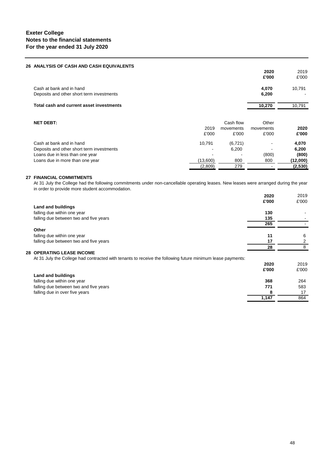#### **26 ANALYSIS OF CASH AND CASH EQUIVALENTS**

|                                                                       | 2020<br>£'000  | 2019<br>£'000                      |
|-----------------------------------------------------------------------|----------------|------------------------------------|
| Cash at bank and in hand<br>Deposits and other short term investments | 4.070<br>6.200 | 10.791<br>$\overline{\phantom{a}}$ |
| Total cash and current asset investments                              | 10.270         | 10.791                             |

| <b>NET DEBT:</b>                          |          | Cash flow                | Other                    |          |
|-------------------------------------------|----------|--------------------------|--------------------------|----------|
|                                           | 2019     | movements                | movements                | 2020     |
|                                           | £'000    | £'000                    | £'000                    | £'000    |
| Cash at bank and in hand                  | 10.791   | (6, 721)                 | $\overline{\phantom{0}}$ | 4.070    |
| Deposits and other short term investments |          | 6.200                    |                          | 6.200    |
| Loans due in less than one year           |          | $\overline{\phantom{0}}$ | (800)                    | (800)    |
| Loans due in more than one year           | (13.600) | 800                      | 800                      | (12,000) |
|                                           | (2,809)  | 279                      | -                        | (2,530)  |

#### **27 FINANCIAL COMMITMENTS**

At 31 July the College had the following commitments under non-cancellable operating leases. New leases were arranged during the year in order to provide more student accommodation.

|                                        | 2020  | 2019  |
|----------------------------------------|-------|-------|
|                                        | £'000 | £'000 |
| Land and buildings                     |       |       |
| falling due within one year            | 130   |       |
| falling due between two and five years | 135   |       |
|                                        | 265   |       |
| Other                                  |       |       |
| falling due within one year            | 11    | 6     |
| falling due between two and five years | 17    |       |
|                                        | 28    | 8     |
| <b>28 OPERATING LEASE INCOME</b>       |       |       |

At 31 July the College had contracted with tenants to receive the following future minimum lease payments:

|                                        | 2020  | 2019  |
|----------------------------------------|-------|-------|
|                                        | £'000 | £'000 |
| Land and buildings                     |       |       |
| falling due within one year            | 368   | 264   |
| falling due between two and five years | 771   | 583   |
| falling due in over five years         | 8     | 17    |
|                                        | 1.147 | 864   |